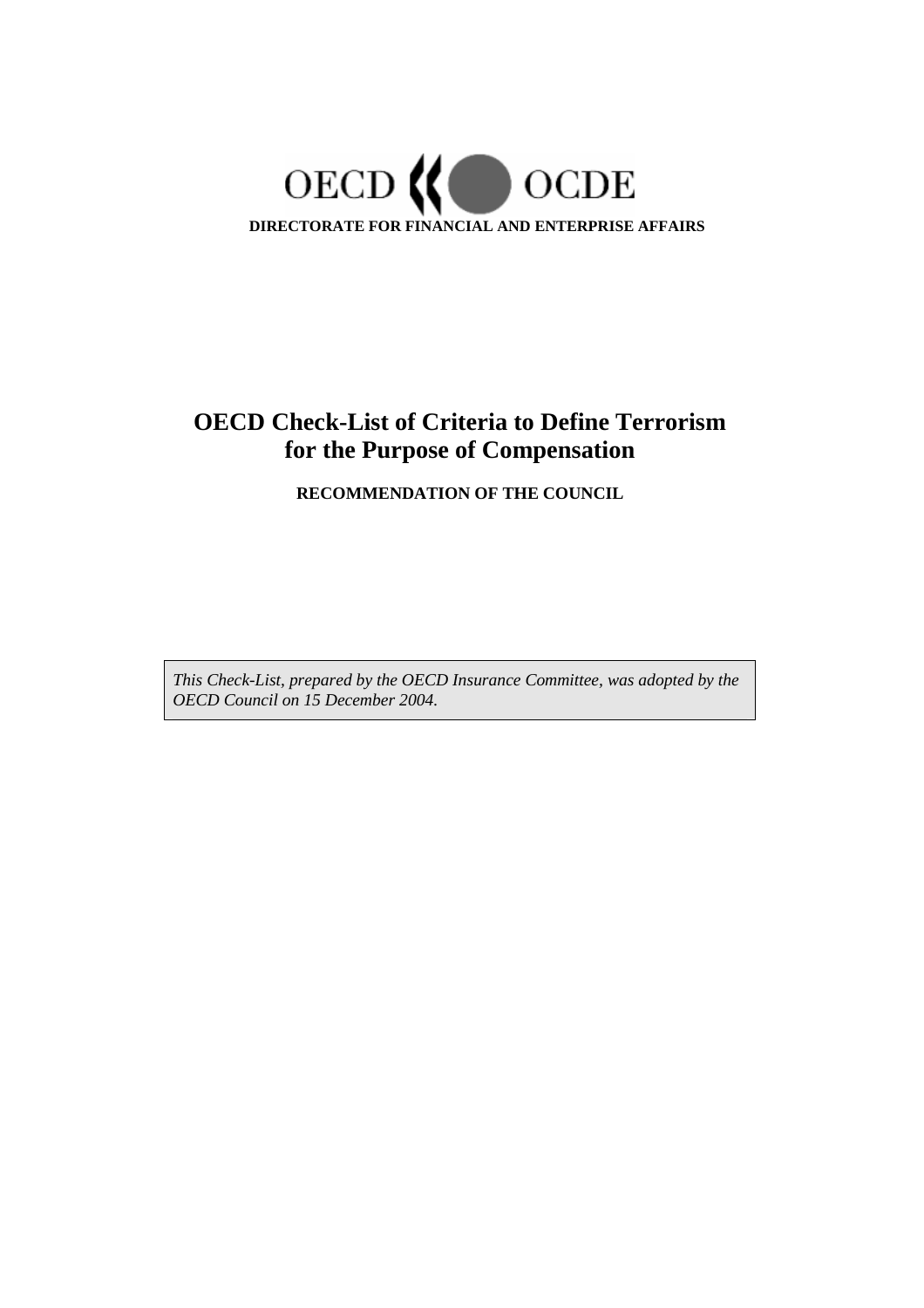

# **OECD Check-List of Criteria to Define Terrorism for the Purpose of Compensation**

**RECOMMENDATION OF THE COUNCIL** 

*This Check-List, prepared by the OECD Insurance Committee, was adopted by the OECD Council on 15 December 2004.*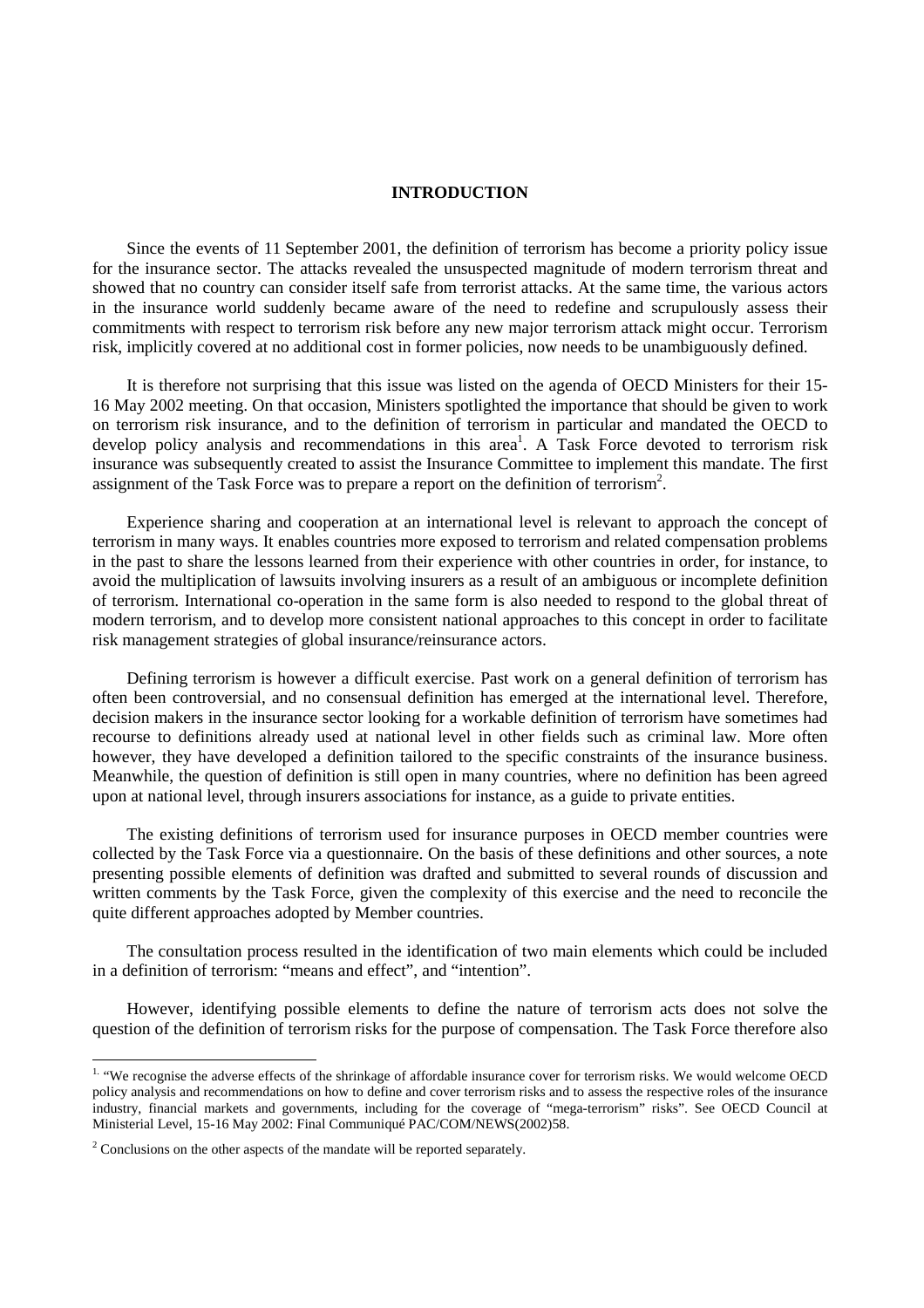#### **INTRODUCTION**

Since the events of 11 September 2001, the definition of terrorism has become a priority policy issue for the insurance sector. The attacks revealed the unsuspected magnitude of modern terrorism threat and showed that no country can consider itself safe from terrorist attacks. At the same time, the various actors in the insurance world suddenly became aware of the need to redefine and scrupulously assess their commitments with respect to terrorism risk before any new major terrorism attack might occur. Terrorism risk, implicitly covered at no additional cost in former policies, now needs to be unambiguously defined.

It is therefore not surprising that this issue was listed on the agenda of OECD Ministers for their 15- 16 May 2002 meeting. On that occasion, Ministers spotlighted the importance that should be given to work on terrorism risk insurance, and to the definition of terrorism in particular and mandated the OECD to develop policy analysis and recommendations in this area<sup>1</sup>. A Task Force devoted to terrorism risk insurance was subsequently created to assist the Insurance Committee to implement this mandate. The first assignment of the Task Force was to prepare a report on the definition of terrorism<sup>2</sup>.

Experience sharing and cooperation at an international level is relevant to approach the concept of terrorism in many ways. It enables countries more exposed to terrorism and related compensation problems in the past to share the lessons learned from their experience with other countries in order, for instance, to avoid the multiplication of lawsuits involving insurers as a result of an ambiguous or incomplete definition of terrorism. International co-operation in the same form is also needed to respond to the global threat of modern terrorism, and to develop more consistent national approaches to this concept in order to facilitate risk management strategies of global insurance/reinsurance actors.

Defining terrorism is however a difficult exercise. Past work on a general definition of terrorism has often been controversial, and no consensual definition has emerged at the international level. Therefore, decision makers in the insurance sector looking for a workable definition of terrorism have sometimes had recourse to definitions already used at national level in other fields such as criminal law. More often however, they have developed a definition tailored to the specific constraints of the insurance business. Meanwhile, the question of definition is still open in many countries, where no definition has been agreed upon at national level, through insurers associations for instance, as a guide to private entities.

The existing definitions of terrorism used for insurance purposes in OECD member countries were collected by the Task Force via a questionnaire. On the basis of these definitions and other sources, a note presenting possible elements of definition was drafted and submitted to several rounds of discussion and written comments by the Task Force, given the complexity of this exercise and the need to reconcile the quite different approaches adopted by Member countries.

The consultation process resulted in the identification of two main elements which could be included in a definition of terrorism: "means and effect", and "intention".

However, identifying possible elements to define the nature of terrorism acts does not solve the question of the definition of terrorism risks for the purpose of compensation. The Task Force therefore also

<sup>&</sup>lt;sup>1.</sup> "We recognise the adverse effects of the shrinkage of affordable insurance cover for terrorism risks. We would welcome OECD policy analysis and recommendations on how to define and cover terrorism risks and to assess the respective roles of the insurance industry, financial markets and governments, including for the coverage of "mega-terrorism" risks". See OECD Council at Ministerial Level, 15-16 May 2002: Final Communiqué PAC/COM/NEWS(2002)58.

 $2^2$  Conclusions on the other aspects of the mandate will be reported separately.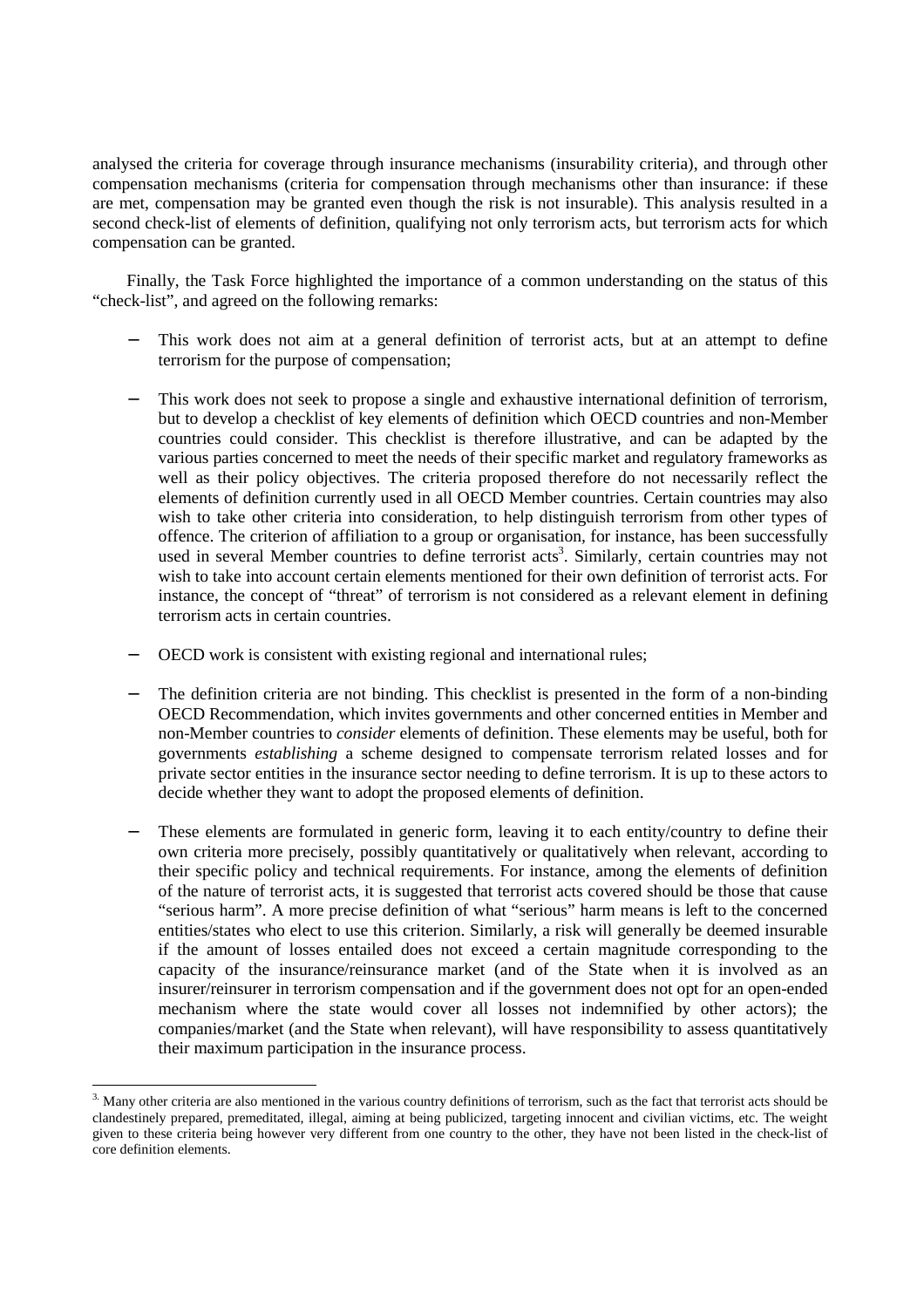analysed the criteria for coverage through insurance mechanisms (insurability criteria), and through other compensation mechanisms (criteria for compensation through mechanisms other than insurance: if these are met, compensation may be granted even though the risk is not insurable). This analysis resulted in a second check-list of elements of definition, qualifying not only terrorism acts, but terrorism acts for which compensation can be granted.

Finally, the Task Force highlighted the importance of a common understanding on the status of this "check-list", and agreed on the following remarks:

- This work does not aim at a general definition of terrorist acts, but at an attempt to define terrorism for the purpose of compensation;
- This work does not seek to propose a single and exhaustive international definition of terrorism, but to develop a checklist of key elements of definition which OECD countries and non-Member countries could consider. This checklist is therefore illustrative, and can be adapted by the various parties concerned to meet the needs of their specific market and regulatory frameworks as well as their policy objectives. The criteria proposed therefore do not necessarily reflect the elements of definition currently used in all OECD Member countries. Certain countries may also wish to take other criteria into consideration, to help distinguish terrorism from other types of offence. The criterion of affiliation to a group or organisation*,* for instance, has been successfully used in several Member countries to define terrorist acts<sup>3</sup>. Similarly, certain countries may not wish to take into account certain elements mentioned for their own definition of terrorist acts. For instance, the concept of "threat" of terrorism is not considered as a relevant element in defining terrorism acts in certain countries.
- OECD work is consistent with existing regional and international rules;
- The definition criteria are not binding. This checklist is presented in the form of a non-binding OECD Recommendation, which invites governments and other concerned entities in Member and non-Member countries to *consider* elements of definition. These elements may be useful, both for governments *establishing* a scheme designed to compensate terrorism related losses and for private sector entities in the insurance sector needing to define terrorism. It is up to these actors to decide whether they want to adopt the proposed elements of definition.
- These elements are formulated in generic form, leaving it to each entity/country to define their own criteria more precisely, possibly quantitatively or qualitatively when relevant, according to their specific policy and technical requirements. For instance, among the elements of definition of the nature of terrorist acts, it is suggested that terrorist acts covered should be those that cause "serious harm". A more precise definition of what "serious" harm means is left to the concerned entities/states who elect to use this criterion. Similarly, a risk will generally be deemed insurable if the amount of losses entailed does not exceed a certain magnitude corresponding to the capacity of the insurance/reinsurance market (and of the State when it is involved as an insurer/reinsurer in terrorism compensation and if the government does not opt for an open-ended mechanism where the state would cover all losses not indemnified by other actors); the companies/market (and the State when relevant), will have responsibility to assess quantitatively their maximum participation in the insurance process.

<sup>&</sup>lt;sup>3.</sup> Many other criteria are also mentioned in the various country definitions of terrorism, such as the fact that terrorist acts should be clandestinely prepared, premeditated, illegal, aiming at being publicized, targeting innocent and civilian victims, etc. The weight given to these criteria being however very different from one country to the other, they have not been listed in the check-list of core definition elements.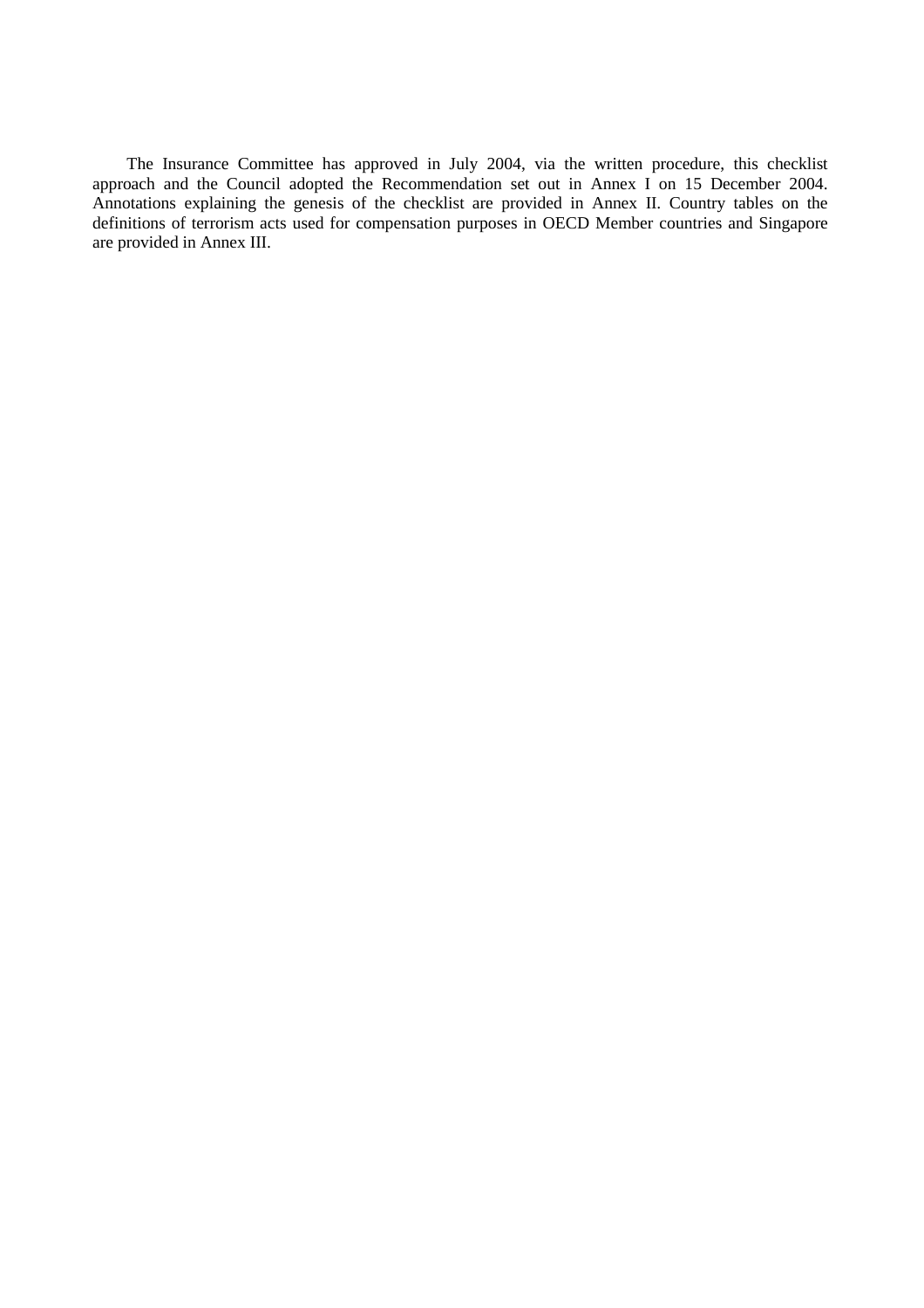The Insurance Committee has approved in July 2004, via the written procedure, this checklist approach and the Council adopted the Recommendation set out in Annex I on 15 December 2004. Annotations explaining the genesis of the checklist are provided in Annex II. Country tables on the definitions of terrorism acts used for compensation purposes in OECD Member countries and Singapore are provided in Annex III.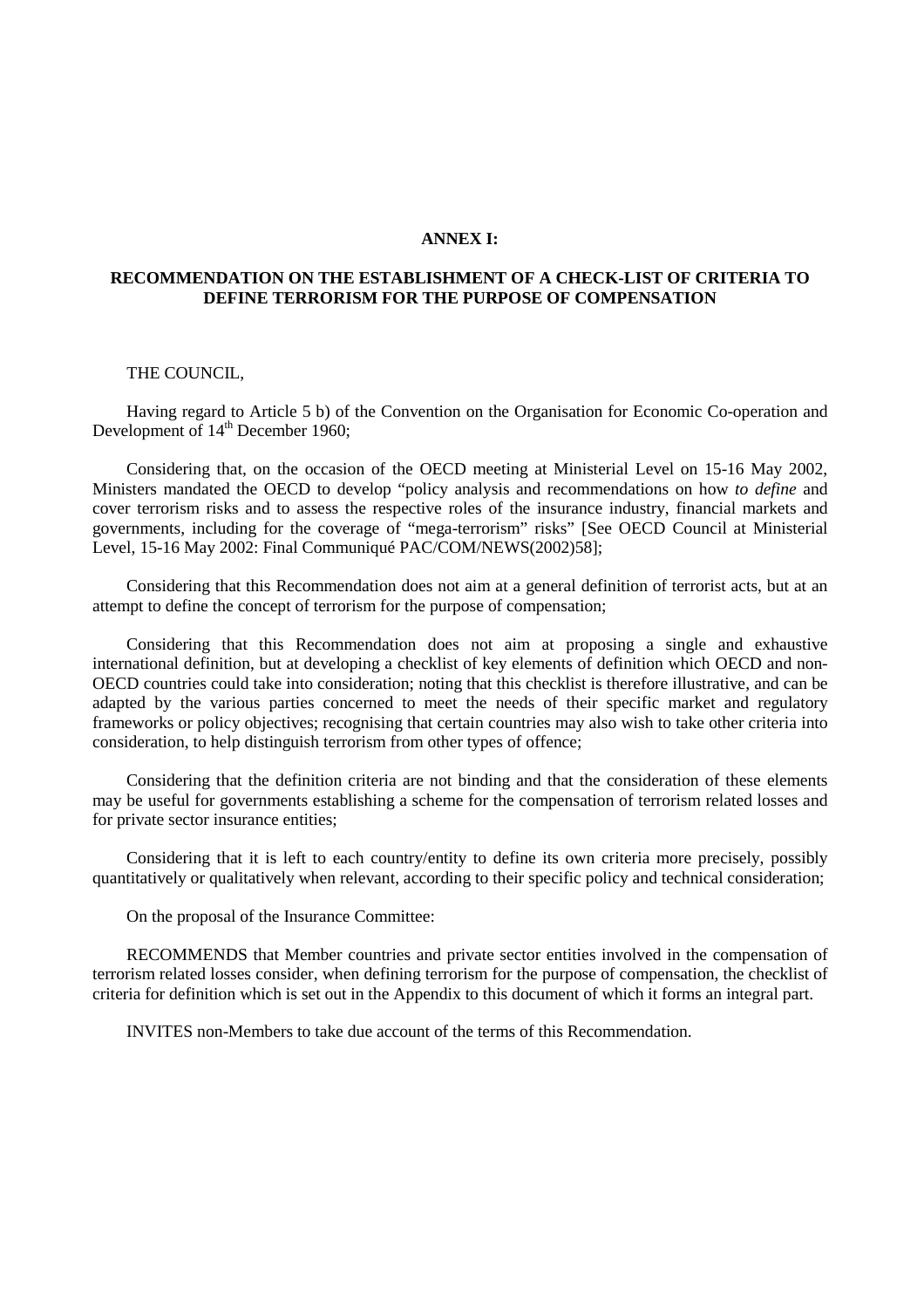#### **ANNEX I:**

#### **RECOMMENDATION ON THE ESTABLISHMENT OF A CHECK-LIST OF CRITERIA TO DEFINE TERRORISM FOR THE PURPOSE OF COMPENSATION**

#### THE COUNCIL,

Having regard to Article 5 b) of the Convention on the Organisation for Economic Co-operation and Development of  $14<sup>th</sup>$  December 1960;

Considering that, on the occasion of the OECD meeting at Ministerial Level on 15-16 May 2002, Ministers mandated the OECD to develop "policy analysis and recommendations on how *to define* and cover terrorism risks and to assess the respective roles of the insurance industry, financial markets and governments, including for the coverage of "mega-terrorism" risks" [See OECD Council at Ministerial Level, 15-16 May 2002: Final Communiqué PAC/COM/NEWS(2002)58];

Considering that this Recommendation does not aim at a general definition of terrorist acts, but at an attempt to define the concept of terrorism for the purpose of compensation;

Considering that this Recommendation does not aim at proposing a single and exhaustive international definition, but at developing a checklist of key elements of definition which OECD and non-OECD countries could take into consideration; noting that this checklist is therefore illustrative, and can be adapted by the various parties concerned to meet the needs of their specific market and regulatory frameworks or policy objectives; recognising that certain countries may also wish to take other criteria into consideration, to help distinguish terrorism from other types of offence;

Considering that the definition criteria are not binding and that the consideration of these elements may be useful for governments establishing a scheme for the compensation of terrorism related losses and for private sector insurance entities;

Considering that it is left to each country/entity to define its own criteria more precisely, possibly quantitatively or qualitatively when relevant, according to their specific policy and technical consideration;

On the proposal of the Insurance Committee:

RECOMMENDS that Member countries and private sector entities involved in the compensation of terrorism related losses consider, when defining terrorism for the purpose of compensation, the checklist of criteria for definition which is set out in the Appendix to this document of which it forms an integral part.

INVITES non-Members to take due account of the terms of this Recommendation.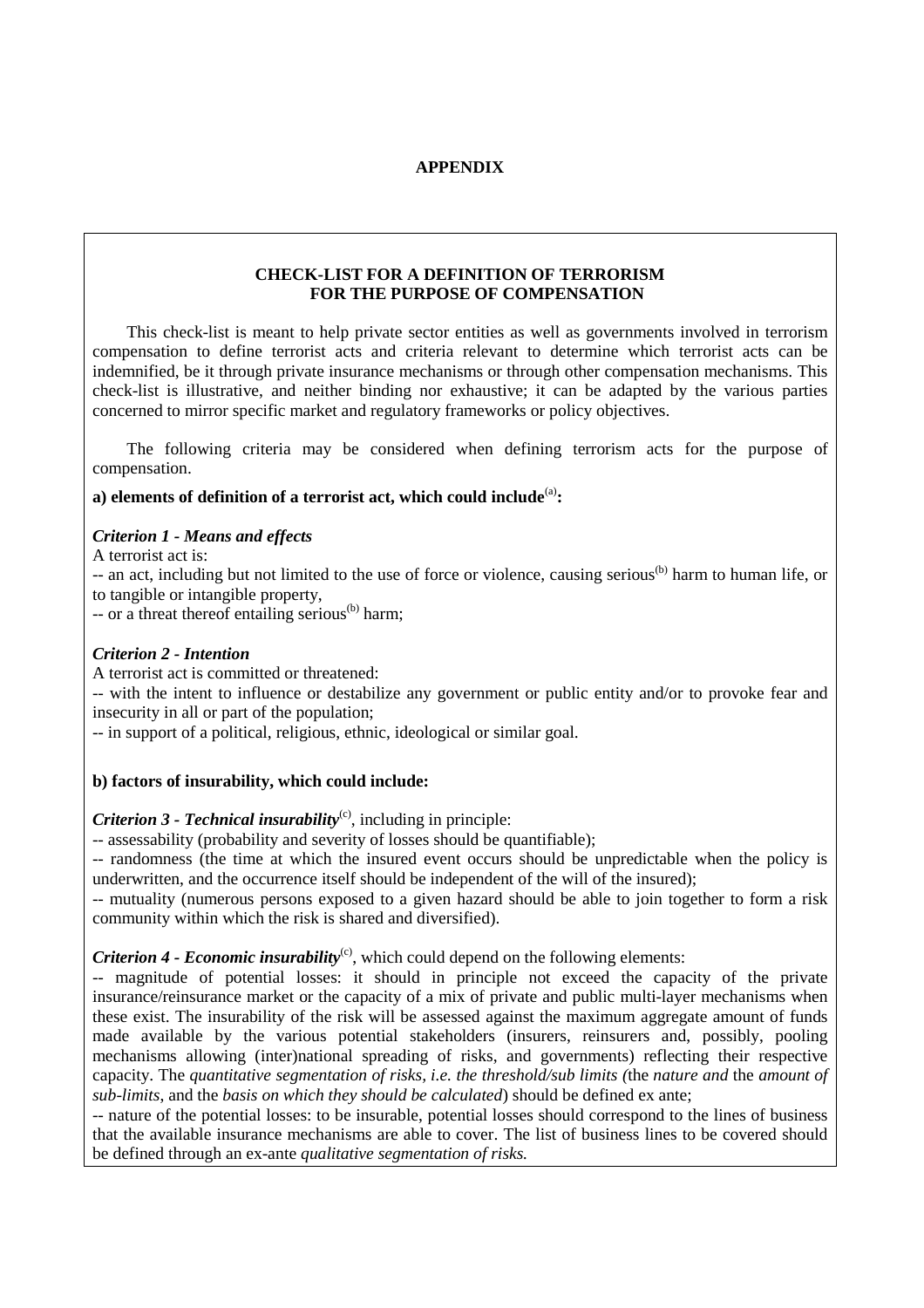# **APPENDIX**

# **CHECK-LIST FOR A DEFINITION OF TERRORISM FOR THE PURPOSE OF COMPENSATION**

This check-list is meant to help private sector entities as well as governments involved in terrorism compensation to define terrorist acts and criteria relevant to determine which terrorist acts can be indemnified, be it through private insurance mechanisms or through other compensation mechanisms. This check-list is illustrative, and neither binding nor exhaustive; it can be adapted by the various parties concerned to mirror specific market and regulatory frameworks or policy objectives.

The following criteria may be considered when defining terrorism acts for the purpose of compensation.

# a) elements of definition of a terrorist act, which could include<sup>(a)</sup>:

# *Criterion 1 - Means and effects*

A terrorist act is:

-- an act, including but not limited to the use of force or violence, causing serious<sup>(b)</sup> harm to human life, or to tangible or intangible property,

 $-$  or a threat thereof entailing serious<sup>(b)</sup> harm;

# *Criterion 2 - Intention*

A terrorist act is committed or threatened:

-- with the intent to influence or destabilize any government or public entity and/or to provoke fear and insecurity in all or part of the population;

-- in support of a political, religious, ethnic, ideological or similar goal.

# **b) factors of insurability, which could include:**

# *Criterion 3 - Technical insurability*<sup>(c)</sup>, including in principle:

-- assessability (probability and severity of losses should be quantifiable);

-- randomness (the time at which the insured event occurs should be unpredictable when the policy is underwritten, and the occurrence itself should be independent of the will of the insured);

-- mutuality (numerous persons exposed to a given hazard should be able to join together to form a risk community within which the risk is shared and diversified).

# *Criterion 4 - Economic insurability*<sup>(c)</sup>, which could depend on the following elements:

-- magnitude of potential losses: it should in principle not exceed the capacity of the private insurance/reinsurance market or the capacity of a mix of private and public multi-layer mechanisms when these exist. The insurability of the risk will be assessed against the maximum aggregate amount of funds made available by the various potential stakeholders (insurers, reinsurers and, possibly, pooling mechanisms allowing (inter)national spreading of risks, and governments) reflecting their respective capacity. The *quantitative segmentation of risks, i.e. the threshold/sub limits (*the *nature and* the *amount of sub-limits*, and the *basis on which they should be calculated*) should be defined ex ante;

-- nature of the potential losses: to be insurable, potential losses should correspond to the lines of business that the available insurance mechanisms are able to cover. The list of business lines to be covered should be defined through an ex-ante *qualitative segmentation of risks.*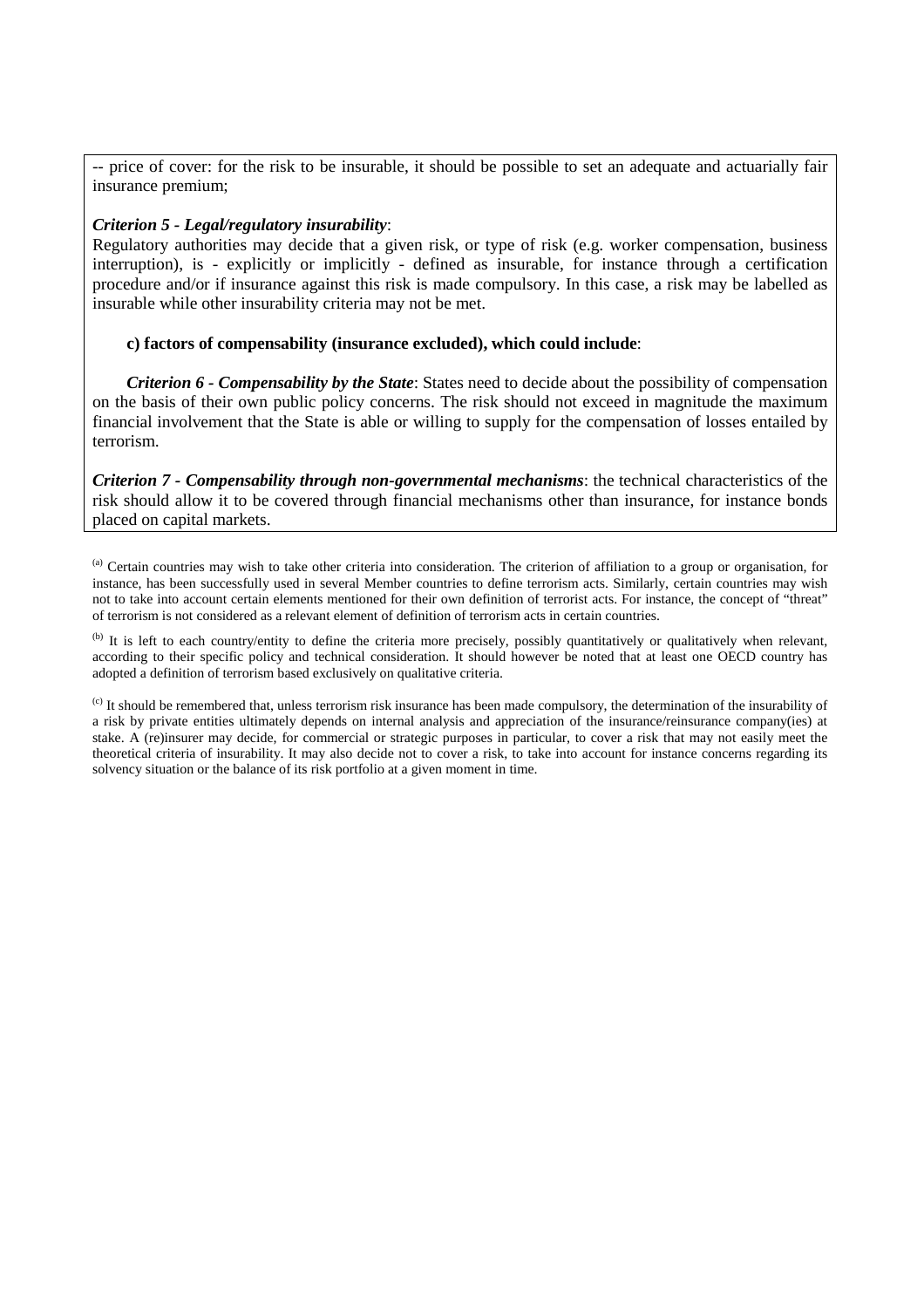-- price of cover: for the risk to be insurable, it should be possible to set an adequate and actuarially fair insurance premium;

# *Criterion 5 - Legal/regulatory insurability*:

Regulatory authorities may decide that a given risk, or type of risk (e.g. worker compensation, business interruption), is - explicitly or implicitly - defined as insurable, for instance through a certification procedure and/or if insurance against this risk is made compulsory. In this case, a risk may be labelled as insurable while other insurability criteria may not be met.

#### **c) factors of compensability (insurance excluded), which could include**:

*Criterion 6 - Compensability by the State*: States need to decide about the possibility of compensation on the basis of their own public policy concerns. The risk should not exceed in magnitude the maximum financial involvement that the State is able or willing to supply for the compensation of losses entailed by terrorism.

*Criterion 7 - Compensability through non-governmental mechanisms*: the technical characteristics of the risk should allow it to be covered through financial mechanisms other than insurance, for instance bonds placed on capital markets.

(a) Certain countries may wish to take other criteria into consideration. The criterion of affiliation to a group or organisation, for instance, has been successfully used in several Member countries to define terrorism acts. Similarly, certain countries may wish not to take into account certain elements mentioned for their own definition of terrorist acts. For instance, the concept of "threat" of terrorism is not considered as a relevant element of definition of terrorism acts in certain countries.

 $<sup>(b)</sup>$  It is left to each country/entity to define the criteria more precisely, possibly quantitatively or qualitatively when relevant,</sup> according to their specific policy and technical consideration. It should however be noted that at least one OECD country has adopted a definition of terrorism based exclusively on qualitative criteria.

<sup>(c)</sup> It should be remembered that, unless terrorism risk insurance has been made compulsory, the determination of the insurability of a risk by private entities ultimately depends on internal analysis and appreciation of the insurance/reinsurance company(ies) at stake. A (re)insurer may decide, for commercial or strategic purposes in particular, to cover a risk that may not easily meet the theoretical criteria of insurability. It may also decide not to cover a risk, to take into account for instance concerns regarding its solvency situation or the balance of its risk portfolio at a given moment in time.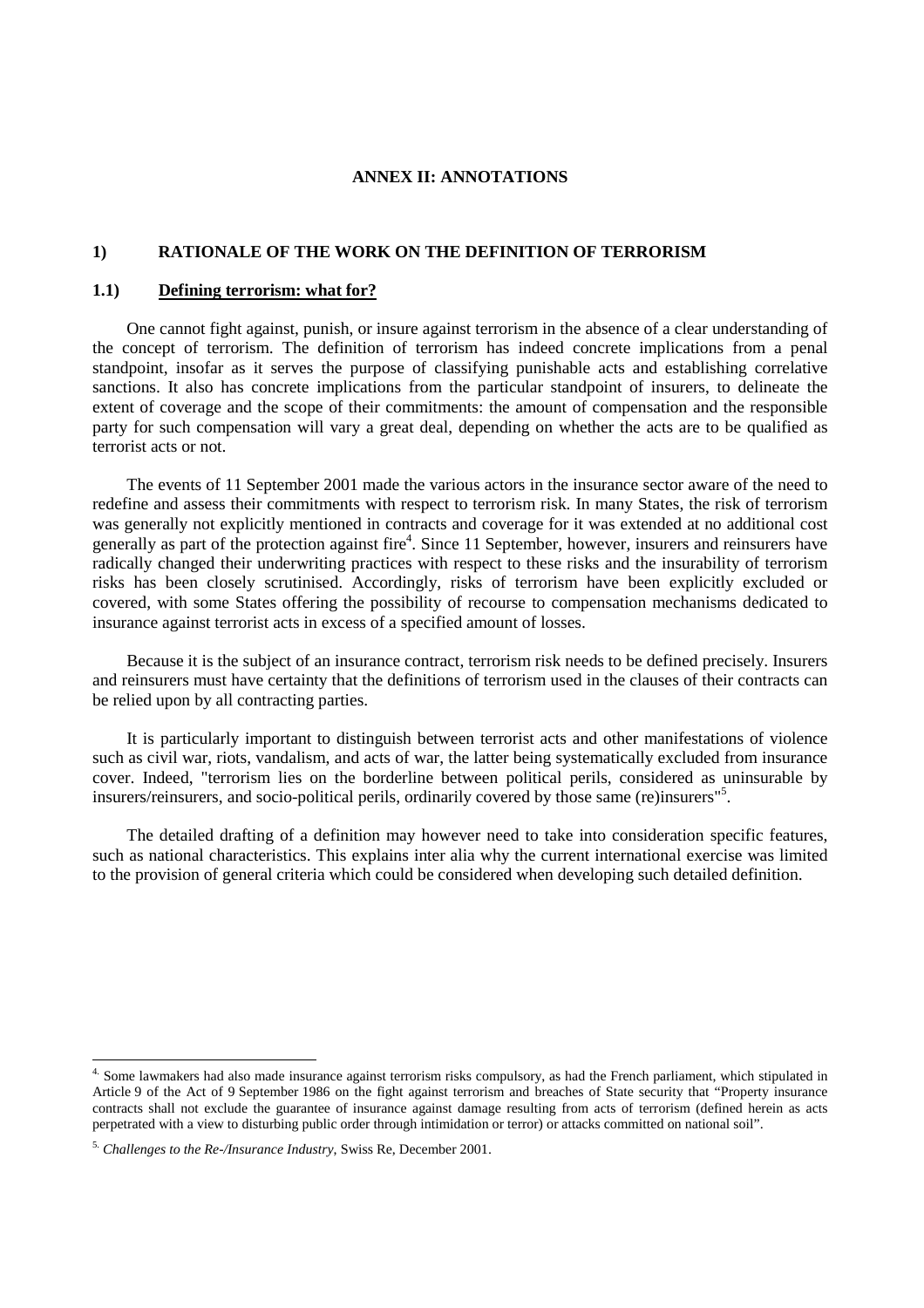# **ANNEX II: ANNOTATIONS**

# **1) RATIONALE OF THE WORK ON THE DEFINITION OF TERRORISM**

# **1.1) Defining terrorism: what for?**

One cannot fight against, punish, or insure against terrorism in the absence of a clear understanding of the concept of terrorism. The definition of terrorism has indeed concrete implications from a penal standpoint, insofar as it serves the purpose of classifying punishable acts and establishing correlative sanctions. It also has concrete implications from the particular standpoint of insurers, to delineate the extent of coverage and the scope of their commitments: the amount of compensation and the responsible party for such compensation will vary a great deal, depending on whether the acts are to be qualified as terrorist acts or not.

The events of 11 September 2001 made the various actors in the insurance sector aware of the need to redefine and assess their commitments with respect to terrorism risk. In many States, the risk of terrorism was generally not explicitly mentioned in contracts and coverage for it was extended at no additional cost generally as part of the protection against fire<sup>4</sup>. Since 11 September, however, insurers and reinsurers have radically changed their underwriting practices with respect to these risks and the insurability of terrorism risks has been closely scrutinised. Accordingly, risks of terrorism have been explicitly excluded or covered, with some States offering the possibility of recourse to compensation mechanisms dedicated to insurance against terrorist acts in excess of a specified amount of losses.

Because it is the subject of an insurance contract, terrorism risk needs to be defined precisely. Insurers and reinsurers must have certainty that the definitions of terrorism used in the clauses of their contracts can be relied upon by all contracting parties.

It is particularly important to distinguish between terrorist acts and other manifestations of violence such as civil war, riots, vandalism, and acts of war, the latter being systematically excluded from insurance cover. Indeed, "terrorism lies on the borderline between political perils, considered as uninsurable by insurers/reinsurers, and socio-political perils, ordinarily covered by those same (re)insurers"<sup>5</sup> .

The detailed drafting of a definition may however need to take into consideration specific features, such as national characteristics. This explains inter alia why the current international exercise was limited to the provision of general criteria which could be considered when developing such detailed definition.

<sup>&</sup>lt;sup>4.</sup> Some lawmakers had also made insurance against terrorism risks compulsory, as had the French parliament, which stipulated in Article 9 of the Act of 9 September 1986 on the fight against terrorism and breaches of State security that "Property insurance contracts shall not exclude the guarantee of insurance against damage resulting from acts of terrorism (defined herein as acts perpetrated with a view to disturbing public order through intimidation or terror) or attacks committed on national soil".

<sup>5.</sup> *Challenges to the Re-/Insurance Industry*, Swiss Re, December 2001.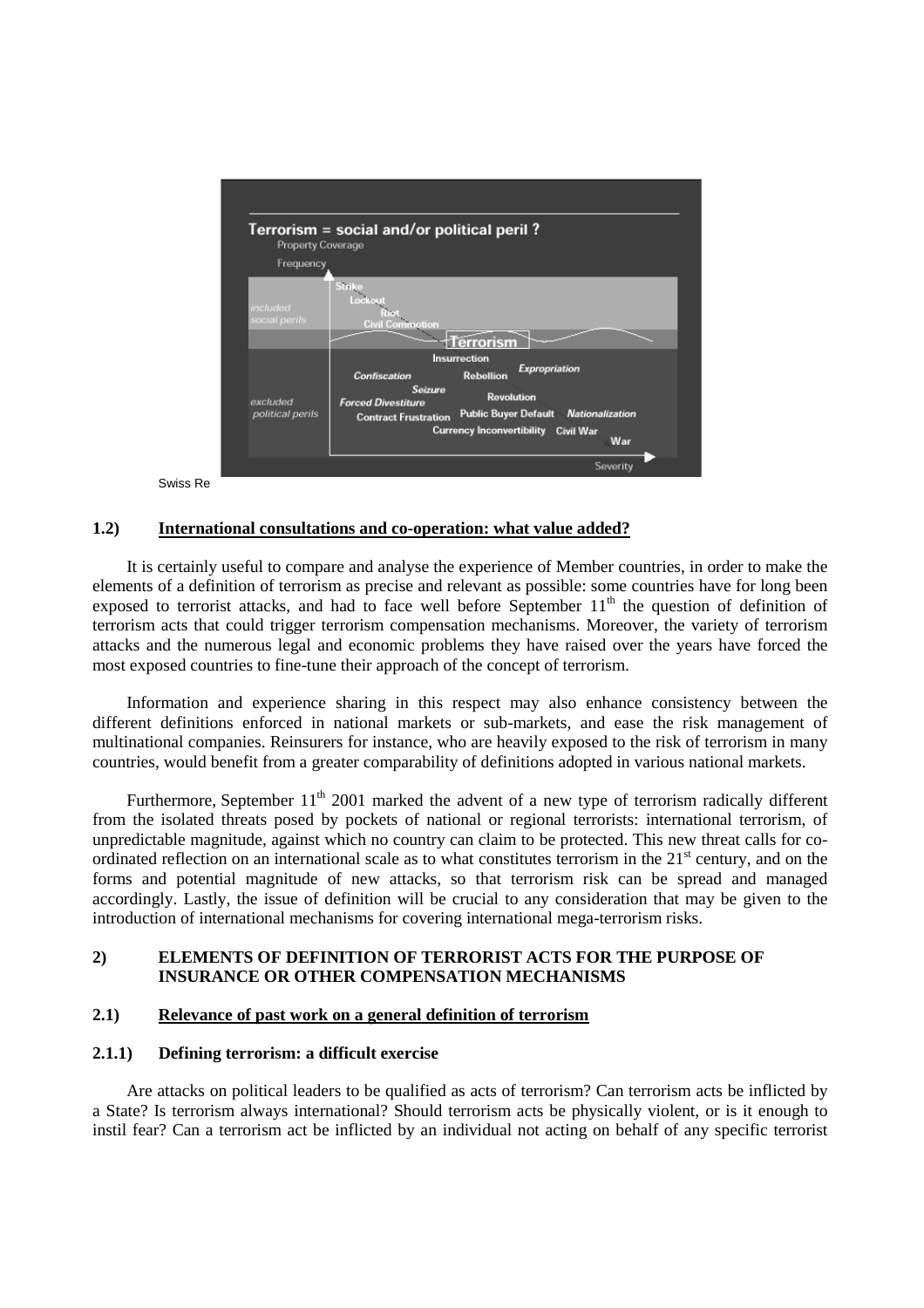

Swiss Re

#### **1.2) International consultations and co-operation: what value added?**

It is certainly useful to compare and analyse the experience of Member countries, in order to make the elements of a definition of terrorism as precise and relevant as possible: some countries have for long been exposed to terrorist attacks, and had to face well before September  $11<sup>th</sup>$  the question of definition of terrorism acts that could trigger terrorism compensation mechanisms. Moreover, the variety of terrorism attacks and the numerous legal and economic problems they have raised over the years have forced the most exposed countries to fine-tune their approach of the concept of terrorism.

Information and experience sharing in this respect may also enhance consistency between the different definitions enforced in national markets or sub-markets, and ease the risk management of multinational companies. Reinsurers for instance, who are heavily exposed to the risk of terrorism in many countries, would benefit from a greater comparability of definitions adopted in various national markets.

Furthermore, September 11<sup>th</sup> 2001 marked the advent of a new type of terrorism radically different from the isolated threats posed by pockets of national or regional terrorists: international terrorism, of unpredictable magnitude, against which no country can claim to be protected. This new threat calls for coordinated reflection on an international scale as to what constitutes terrorism in the  $21<sup>st</sup>$  century, and on the forms and potential magnitude of new attacks, so that terrorism risk can be spread and managed accordingly. Lastly, the issue of definition will be crucial to any consideration that may be given to the introduction of international mechanisms for covering international mega-terrorism risks.

#### **2) ELEMENTS OF DEFINITION OF TERRORIST ACTS FOR THE PURPOSE OF INSURANCE OR OTHER COMPENSATION MECHANISMS**

#### **2.1) Relevance of past work on a general definition of terrorism**

#### **2.1.1) Defining terrorism: a difficult exercise**

Are attacks on political leaders to be qualified as acts of terrorism? Can terrorism acts be inflicted by a State? Is terrorism always international? Should terrorism acts be physically violent, or is it enough to instil fear? Can a terrorism act be inflicted by an individual not acting on behalf of any specific terrorist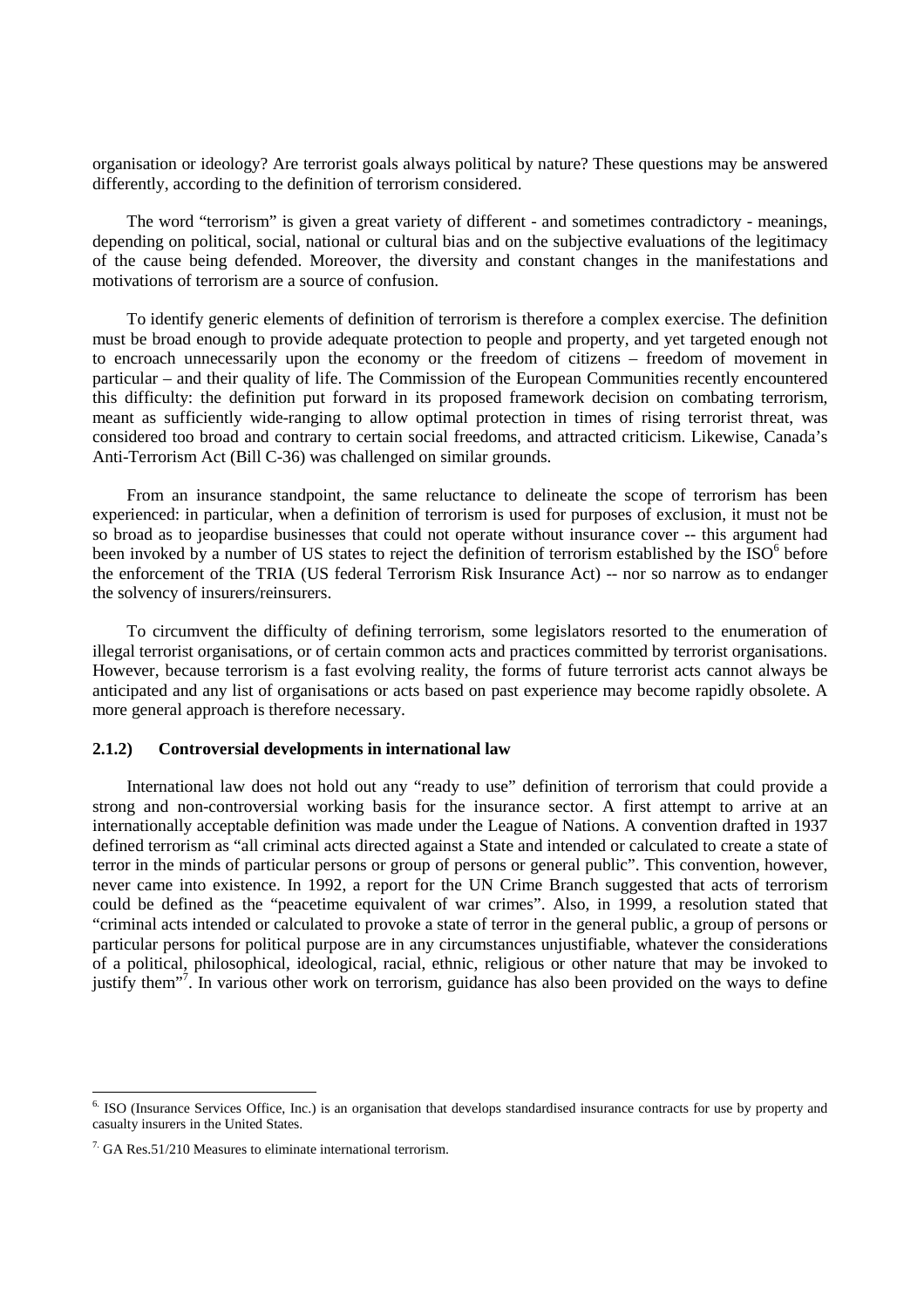organisation or ideology? Are terrorist goals always political by nature? These questions may be answered differently, according to the definition of terrorism considered.

The word "terrorism" is given a great variety of different - and sometimes contradictory - meanings, depending on political, social, national or cultural bias and on the subjective evaluations of the legitimacy of the cause being defended. Moreover, the diversity and constant changes in the manifestations and motivations of terrorism are a source of confusion.

To identify generic elements of definition of terrorism is therefore a complex exercise. The definition must be broad enough to provide adequate protection to people and property, and yet targeted enough not to encroach unnecessarily upon the economy or the freedom of citizens – freedom of movement in particular – and their quality of life. The Commission of the European Communities recently encountered this difficulty: the definition put forward in its proposed framework decision on combating terrorism, meant as sufficiently wide-ranging to allow optimal protection in times of rising terrorist threat, was considered too broad and contrary to certain social freedoms, and attracted criticism. Likewise, Canada's Anti-Terrorism Act (Bill C-36) was challenged on similar grounds.

From an insurance standpoint, the same reluctance to delineate the scope of terrorism has been experienced: in particular, when a definition of terrorism is used for purposes of exclusion, it must not be so broad as to jeopardise businesses that could not operate without insurance cover -- this argument had been invoked by a number of US states to reject the definition of terrorism established by the  $ISO^6$  before the enforcement of the TRIA (US federal Terrorism Risk Insurance Act) -- nor so narrow as to endanger the solvency of insurers/reinsurers.

To circumvent the difficulty of defining terrorism, some legislators resorted to the enumeration of illegal terrorist organisations, or of certain common acts and practices committed by terrorist organisations. However, because terrorism is a fast evolving reality, the forms of future terrorist acts cannot always be anticipated and any list of organisations or acts based on past experience may become rapidly obsolete. A more general approach is therefore necessary.

#### **2.1.2) Controversial developments in international law**

International law does not hold out any "ready to use" definition of terrorism that could provide a strong and non-controversial working basis for the insurance sector. A first attempt to arrive at an internationally acceptable definition was made under the League of Nations. A convention drafted in 1937 defined terrorism as "all criminal acts directed against a State and intended or calculated to create a state of terror in the minds of particular persons or group of persons or general public". This convention, however, never came into existence. In 1992, a report for the UN Crime Branch suggested that acts of terrorism could be defined as the "peacetime equivalent of war crimes". Also, in 1999, a resolution stated that "criminal acts intended or calculated to provoke a state of terror in the general public, a group of persons or particular persons for political purpose are in any circumstances unjustifiable, whatever the considerations of a political, philosophical, ideological, racial, ethnic, religious or other nature that may be invoked to justify them"<sup>7</sup>. In various other work on terrorism, guidance has also been provided on the ways to define

<sup>&</sup>lt;sup>6.</sup> ISO (Insurance Services Office, Inc.) is an organisation that develops standardised insurance contracts for use by property and casualty insurers in the United States.

 $7 \text{ G}$ A Res.51/210 Measures to eliminate international terrorism.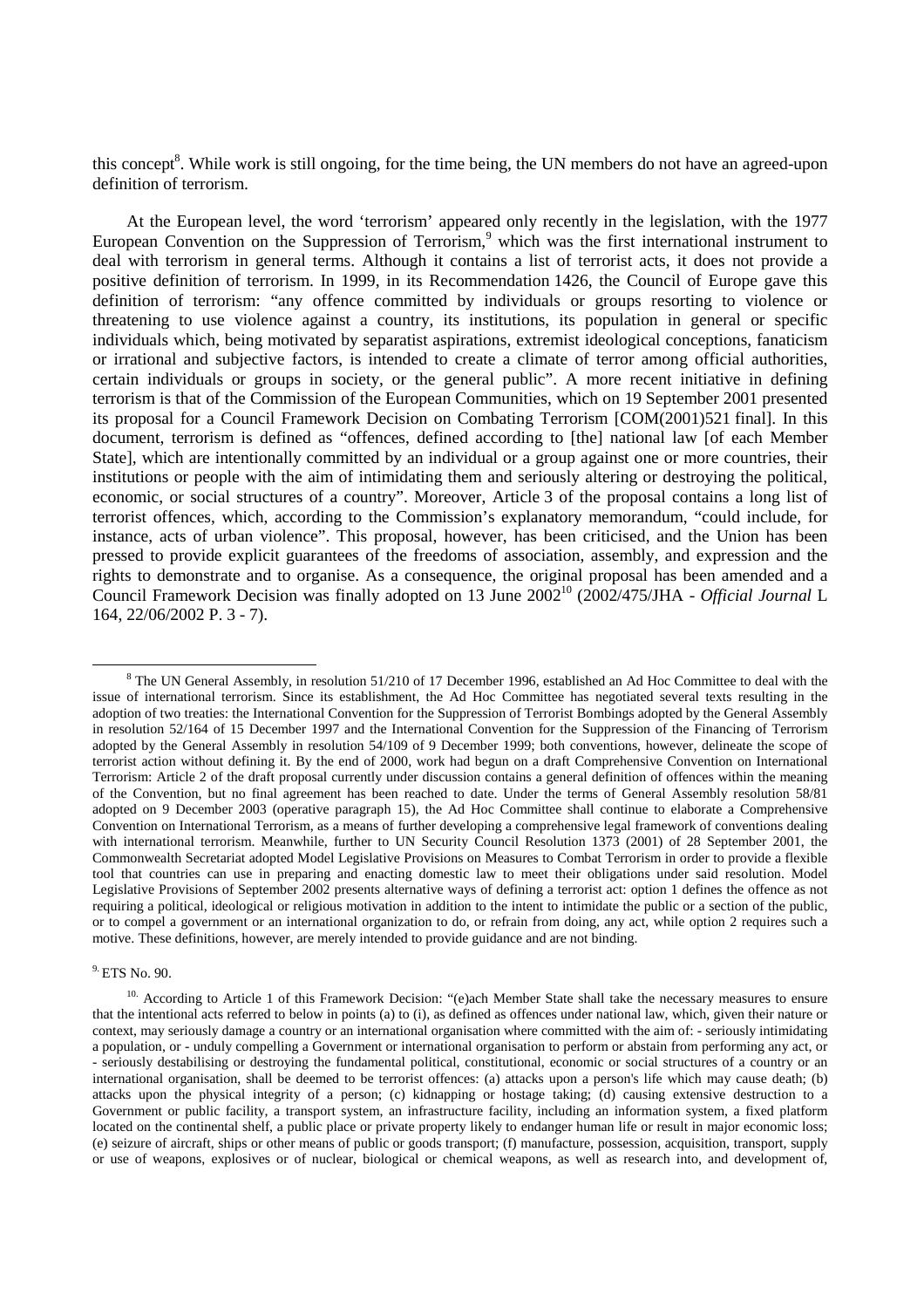this concept<sup>8</sup>. While work is still ongoing, for the time being, the UN members do not have an agreed-upon definition of terrorism.

At the European level, the word 'terrorism' appeared only recently in the legislation, with the 1977 European Convention on the Suppression of Terrorism,<sup>9</sup> which was the first international instrument to deal with terrorism in general terms. Although it contains a list of terrorist acts, it does not provide a positive definition of terrorism. In 1999, in its Recommendation 1426, the Council of Europe gave this definition of terrorism: "any offence committed by individuals or groups resorting to violence or threatening to use violence against a country, its institutions, its population in general or specific individuals which, being motivated by separatist aspirations, extremist ideological conceptions, fanaticism or irrational and subjective factors, is intended to create a climate of terror among official authorities, certain individuals or groups in society, or the general public". A more recent initiative in defining terrorism is that of the Commission of the European Communities, which on 19 September 2001 presented its proposal for a Council Framework Decision on Combating Terrorism [COM(2001)521 final]. In this document, terrorism is defined as "offences, defined according to [the] national law [of each Member State], which are intentionally committed by an individual or a group against one or more countries, their institutions or people with the aim of intimidating them and seriously altering or destroying the political, economic, or social structures of a country". Moreover, Article 3 of the proposal contains a long list of terrorist offences, which, according to the Commission's explanatory memorandum, "could include, for instance, acts of urban violence". This proposal, however, has been criticised, and the Union has been pressed to provide explicit guarantees of the freedoms of association, assembly, and expression and the rights to demonstrate and to organise. As a consequence, the original proposal has been amended and a Council Framework Decision was finally adopted on 13 June 2002<sup>10</sup> (2002/475/JHA - *Official Journal L* 164, 22/06/2002 P. 3 - 7).

9. ETS No. 90.

 <sup>8</sup> The UN General Assembly, in resolution 51/210 of 17 December 1996, established an Ad Hoc Committee to deal with the issue of international terrorism. Since its establishment, the Ad Hoc Committee has negotiated several texts resulting in the adoption of two treaties: the International Convention for the Suppression of Terrorist Bombings adopted by the General Assembly in resolution 52/164 of 15 December 1997 and the International Convention for the Suppression of the Financing of Terrorism adopted by the General Assembly in resolution 54/109 of 9 December 1999; both conventions, however, delineate the scope of terrorist action without defining it. By the end of 2000, work had begun on a draft Comprehensive Convention on International Terrorism: Article 2 of the draft proposal currently under discussion contains a general definition of offences within the meaning of the Convention, but no final agreement has been reached to date. Under the terms of General Assembly resolution 58/81 adopted on 9 December 2003 (operative paragraph 15), the Ad Hoc Committee shall continue to elaborate a Comprehensive Convention on International Terrorism, as a means of further developing a comprehensive legal framework of conventions dealing with international terrorism. Meanwhile, further to UN Security Council Resolution 1373 (2001) of 28 September 2001, the Commonwealth Secretariat adopted Model Legislative Provisions on Measures to Combat Terrorism in order to provide a flexible tool that countries can use in preparing and enacting domestic law to meet their obligations under said resolution. Model Legislative Provisions of September 2002 presents alternative ways of defining a terrorist act: option 1 defines the offence as not requiring a political, ideological or religious motivation in addition to the intent to intimidate the public or a section of the public, or to compel a government or an international organization to do, or refrain from doing, any act, while option 2 requires such a motive. These definitions, however, are merely intended to provide guidance and are not binding.

<sup>&</sup>lt;sup>10.</sup> According to Article 1 of this Framework Decision: "(e)ach Member State shall take the necessary measures to ensure that the intentional acts referred to below in points (a) to (i), as defined as offences under national law, which, given their nature or context, may seriously damage a country or an international organisation where committed with the aim of: - seriously intimidating a population, or - unduly compelling a Government or international organisation to perform or abstain from performing any act, or - seriously destabilising or destroying the fundamental political, constitutional, economic or social structures of a country or an international organisation, shall be deemed to be terrorist offences: (a) attacks upon a person's life which may cause death; (b) attacks upon the physical integrity of a person; (c) kidnapping or hostage taking; (d) causing extensive destruction to a Government or public facility, a transport system, an infrastructure facility, including an information system, a fixed platform located on the continental shelf, a public place or private property likely to endanger human life or result in major economic loss; (e) seizure of aircraft, ships or other means of public or goods transport; (f) manufacture, possession, acquisition, transport, supply or use of weapons, explosives or of nuclear, biological or chemical weapons, as well as research into, and development of,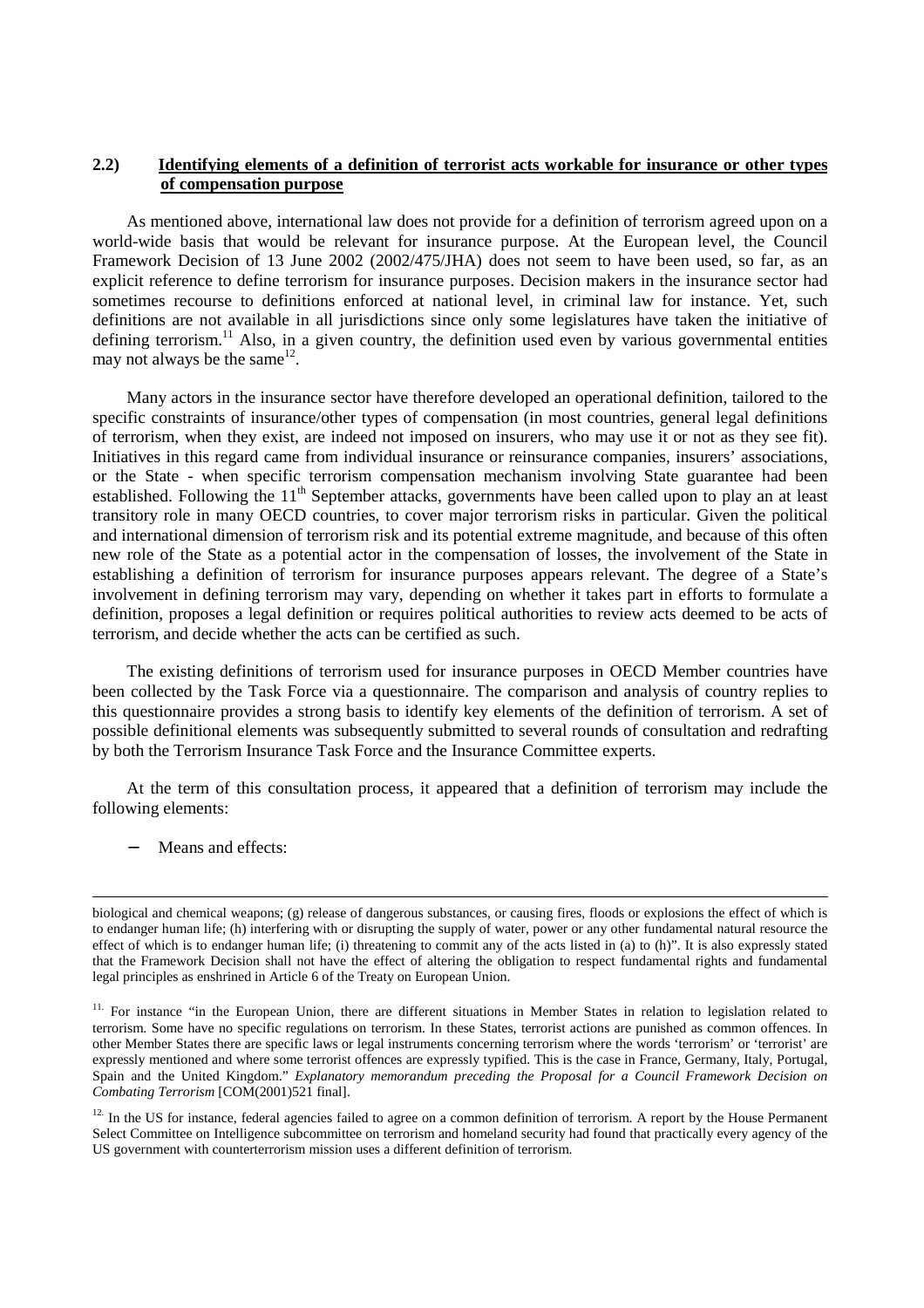# **2.2) Identifying elements of a definition of terrorist acts workable for insurance or other types of compensation purpose**

As mentioned above, international law does not provide for a definition of terrorism agreed upon on a world-wide basis that would be relevant for insurance purpose. At the European level, the Council Framework Decision of 13 June 2002 (2002/475/JHA) does not seem to have been used, so far, as an explicit reference to define terrorism for insurance purposes. Decision makers in the insurance sector had sometimes recourse to definitions enforced at national level, in criminal law for instance. Yet, such definitions are not available in all jurisdictions since only some legislatures have taken the initiative of defining terrorism.<sup>11</sup> Also, in a given country, the definition used even by various governmental entities may not always be the same  $12$ .

Many actors in the insurance sector have therefore developed an operational definition, tailored to the specific constraints of insurance/other types of compensation (in most countries, general legal definitions of terrorism, when they exist, are indeed not imposed on insurers, who may use it or not as they see fit). Initiatives in this regard came from individual insurance or reinsurance companies, insurers' associations, or the State - when specific terrorism compensation mechanism involving State guarantee had been established. Following the 11<sup>th</sup> September attacks, governments have been called upon to play an at least transitory role in many OECD countries, to cover major terrorism risks in particular. Given the political and international dimension of terrorism risk and its potential extreme magnitude, and because of this often new role of the State as a potential actor in the compensation of losses, the involvement of the State in establishing a definition of terrorism for insurance purposes appears relevant. The degree of a State's involvement in defining terrorism may vary, depending on whether it takes part in efforts to formulate a definition, proposes a legal definition or requires political authorities to review acts deemed to be acts of terrorism, and decide whether the acts can be certified as such.

The existing definitions of terrorism used for insurance purposes in OECD Member countries have been collected by the Task Force via a questionnaire. The comparison and analysis of country replies to this questionnaire provides a strong basis to identify key elements of the definition of terrorism. A set of possible definitional elements was subsequently submitted to several rounds of consultation and redrafting by both the Terrorism Insurance Task Force and the Insurance Committee experts.

At the term of this consultation process, it appeared that a definition of terrorism may include the following elements:

− Means and effects:

biological and chemical weapons; (g) release of dangerous substances, or causing fires, floods or explosions the effect of which is to endanger human life; (h) interfering with or disrupting the supply of water, power or any other fundamental natural resource the effect of which is to endanger human life; (i) threatening to commit any of the acts listed in (a) to (h)". It is also expressly stated that the Framework Decision shall not have the effect of altering the obligation to respect fundamental rights and fundamental legal principles as enshrined in Article 6 of the Treaty on European Union.

<sup>&</sup>lt;sup>11.</sup> For instance "in the European Union, there are different situations in Member States in relation to legislation related to terrorism. Some have no specific regulations on terrorism. In these States, terrorist actions are punished as common offences. In other Member States there are specific laws or legal instruments concerning terrorism where the words 'terrorism' or 'terrorist' are expressly mentioned and where some terrorist offences are expressly typified. This is the case in France, Germany, Italy, Portugal, Spain and the United Kingdom." *Explanatory memorandum preceding the Proposal for a Council Framework Decision on Combating Terrorism* [COM(2001)521 final].

<sup>&</sup>lt;sup>12.</sup> In the US for instance, federal agencies failed to agree on a common definition of terrorism. A report by the House Permanent Select Committee on Intelligence subcommittee on terrorism and homeland security had found that practically every agency of the US government with counterterrorism mission uses a different definition of terrorism.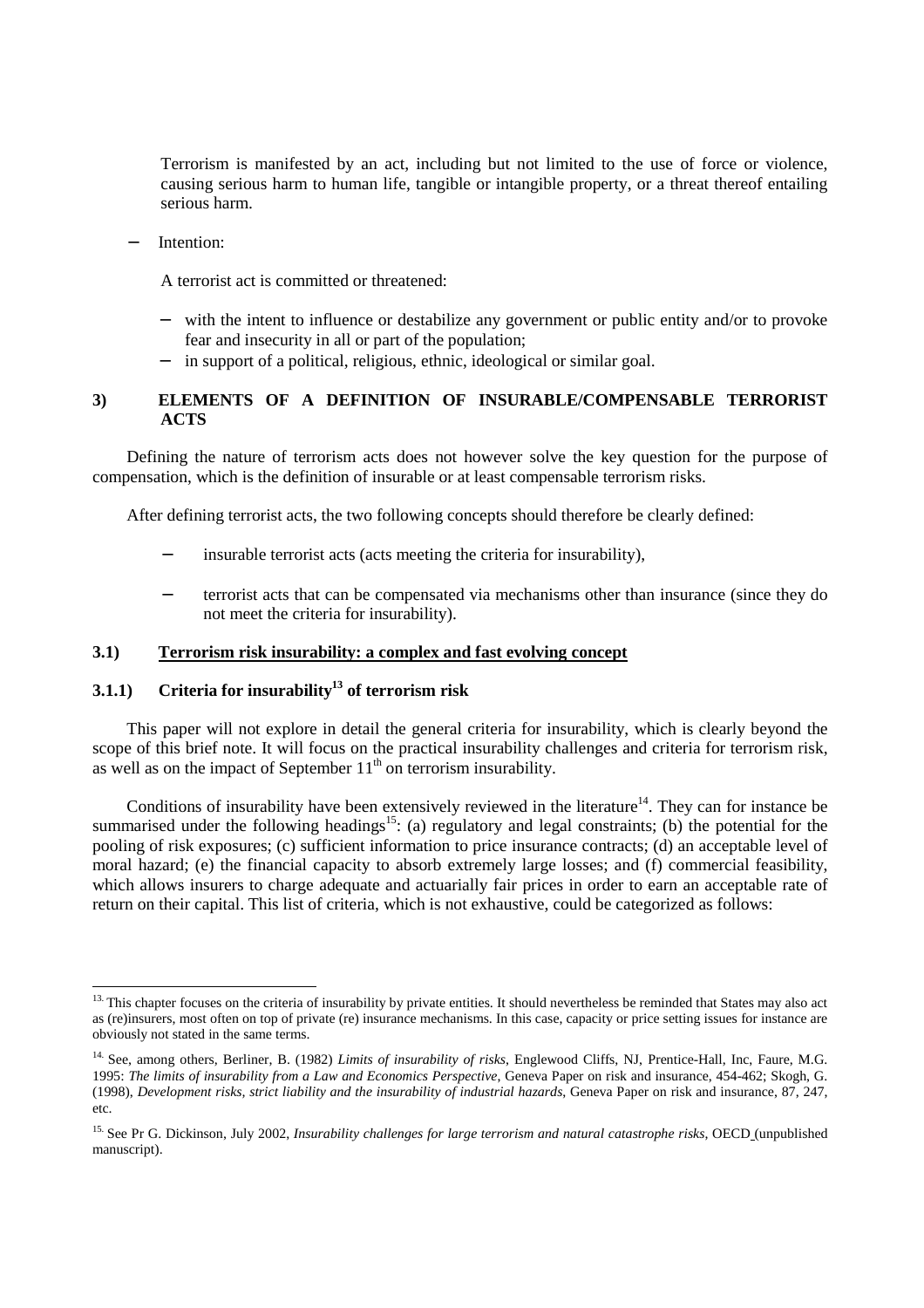Terrorism is manifested by an act, including but not limited to the use of force or violence, causing serious harm to human life, tangible or intangible property, or a threat thereof entailing serious harm.

Intention:

A terrorist act is committed or threatened:

- with the intent to influence or destabilize any government or public entity and/or to provoke fear and insecurity in all or part of the population;
- in support of a political, religious, ethnic, ideological or similar goal.

# **3) ELEMENTS OF A DEFINITION OF INSURABLE/COMPENSABLE TERRORIST ACTS**

Defining the nature of terrorism acts does not however solve the key question for the purpose of compensation, which is the definition of insurable or at least compensable terrorism risks.

After defining terrorist acts, the two following concepts should therefore be clearly defined:

- insurable terrorist acts (acts meeting the criteria for insurability),
- terrorist acts that can be compensated via mechanisms other than insurance (since they do not meet the criteria for insurability).

# **3.1) Terrorism risk insurability: a complex and fast evolving concept**

# **3.1.1**) Criteria for insurability<sup>13</sup> of terrorism risk

This paper will not explore in detail the general criteria for insurability, which is clearly beyond the scope of this brief note. It will focus on the practical insurability challenges and criteria for terrorism risk, as well as on the impact of September  $11<sup>th</sup>$  on terrorism insurability.

Conditions of insurability have been extensively reviewed in the literature<sup>14</sup>. They can for instance be summarised under the following headings<sup>15</sup>: (a) regulatory and legal constraints; (b) the potential for the pooling of risk exposures; (c) sufficient information to price insurance contracts; (d) an acceptable level of moral hazard; (e) the financial capacity to absorb extremely large losses; and (f) commercial feasibility, which allows insurers to charge adequate and actuarially fair prices in order to earn an acceptable rate of return on their capital. This list of criteria, which is not exhaustive, could be categorized as follows:

 $13.$  This chapter focuses on the criteria of insurability by private entities. It should nevertheless be reminded that States may also act as (re)insurers, most often on top of private (re) insurance mechanisms. In this case, capacity or price setting issues for instance are obviously not stated in the same terms.

<sup>14.</sup> See, among others, Berliner, B. (1982) *Limits of insurability of risks*, Englewood Cliffs, NJ, Prentice-Hall, Inc, Faure, M.G. 1995: *The limits of insurability from a Law and Economics Perspective*, Geneva Paper on risk and insurance, 454-462; Skogh, G. (1998), *Development risks, strict liability and the insurability of industrial hazards*, Geneva Paper on risk and insurance, 87, 247, etc.

<sup>&</sup>lt;sup>15.</sup> See Pr G. Dickinson, July 2002, *Insurability challenges for large terrorism and natural catastrophe risks*, OECD (unpublished manuscript).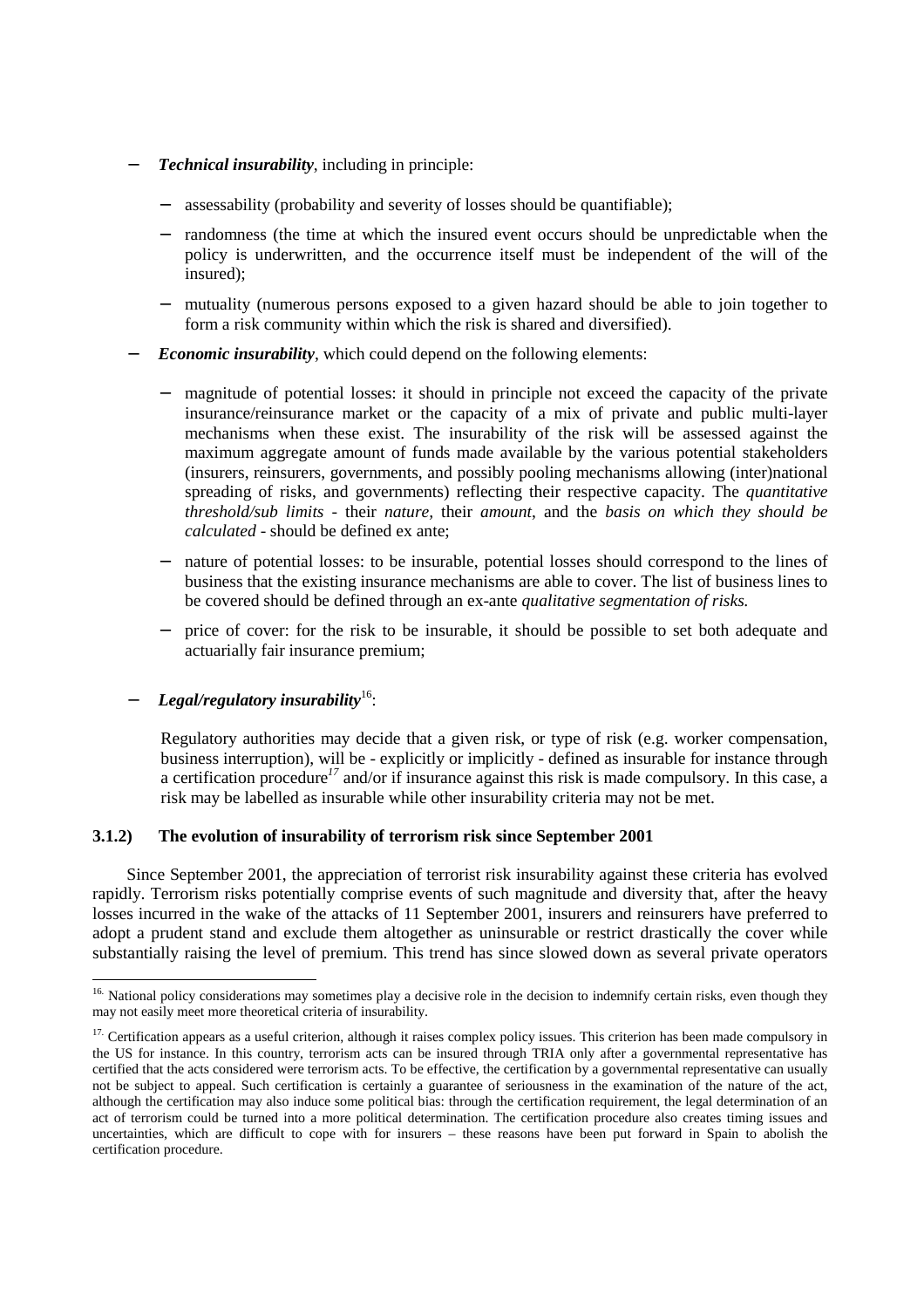- − *Technical insurability*, including in principle:
	- assessability (probability and severity of losses should be quantifiable);
	- randomness (the time at which the insured event occurs should be unpredictable when the policy is underwritten, and the occurrence itself must be independent of the will of the insured);
	- mutuality (numerous persons exposed to a given hazard should be able to join together to form a risk community within which the risk is shared and diversified).
- − *Economic insurability*, which could depend on the following elements:
	- magnitude of potential losses: it should in principle not exceed the capacity of the private insurance/reinsurance market or the capacity of a mix of private and public multi-layer mechanisms when these exist. The insurability of the risk will be assessed against the maximum aggregate amount of funds made available by the various potential stakeholders (insurers, reinsurers, governments, and possibly pooling mechanisms allowing (inter)national spreading of risks, and governments) reflecting their respective capacity. The *quantitative threshold/sub limits -* their *nature,* their *amount*, and the *basis on which they should be calculated* - should be defined ex ante;
	- nature of potential losses: to be insurable, potential losses should correspond to the lines of business that the existing insurance mechanisms are able to cover. The list of business lines to be covered should be defined through an ex-ante *qualitative segmentation of risks.*
	- price of cover: for the risk to be insurable, it should be possible to set both adequate and actuarially fair insurance premium;

# − *Legal/regulatory insurability*16:

 $\overline{a}$ 

Regulatory authorities may decide that a given risk, or type of risk (e.g. worker compensation, business interruption), will be - explicitly or implicitly - defined as insurable for instance through a certification procedure*<sup>17</sup>* and/or if insurance against this risk is made compulsory. In this case, a risk may be labelled as insurable while other insurability criteria may not be met.

#### **3.1.2) The evolution of insurability of terrorism risk since September 2001**

Since September 2001, the appreciation of terrorist risk insurability against these criteria has evolved rapidly. Terrorism risks potentially comprise events of such magnitude and diversity that, after the heavy losses incurred in the wake of the attacks of 11 September 2001, insurers and reinsurers have preferred to adopt a prudent stand and exclude them altogether as uninsurable or restrict drastically the cover while substantially raising the level of premium. This trend has since slowed down as several private operators

<sup>&</sup>lt;sup>16.</sup> National policy considerations may sometimes play a decisive role in the decision to indemnify certain risks, even though they may not easily meet more theoretical criteria of insurability.

<sup>&</sup>lt;sup>17.</sup> Certification appears as a useful criterion, although it raises complex policy issues. This criterion has been made compulsory in the US for instance. In this country, terrorism acts can be insured through TRIA only after a governmental representative has certified that the acts considered were terrorism acts. To be effective, the certification by a governmental representative can usually not be subject to appeal. Such certification is certainly a guarantee of seriousness in the examination of the nature of the act, although the certification may also induce some political bias: through the certification requirement, the legal determination of an act of terrorism could be turned into a more political determination. The certification procedure also creates timing issues and uncertainties, which are difficult to cope with for insurers – these reasons have been put forward in Spain to abolish the certification procedure.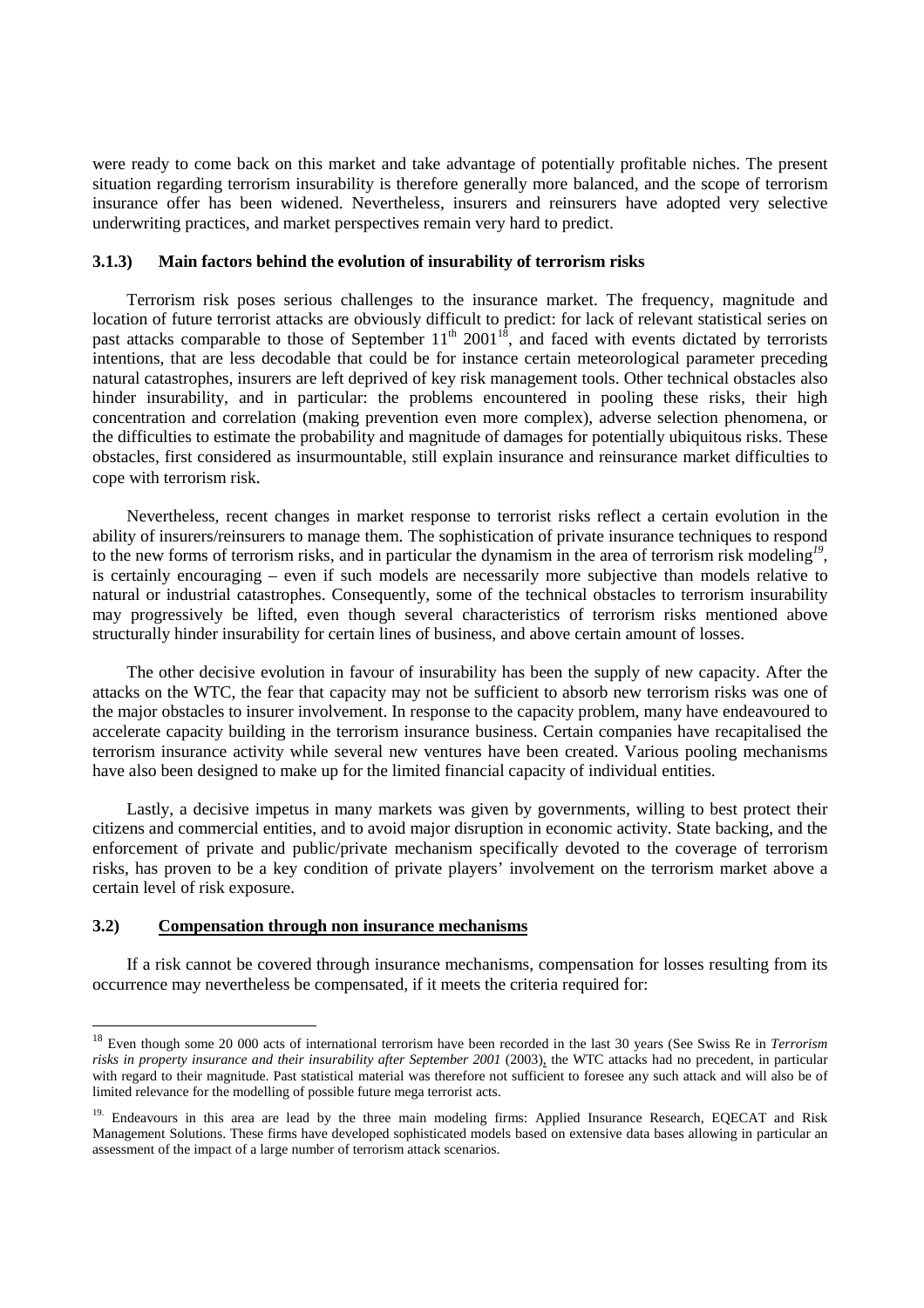were ready to come back on this market and take advantage of potentially profitable niches. The present situation regarding terrorism insurability is therefore generally more balanced, and the scope of terrorism insurance offer has been widened. Nevertheless, insurers and reinsurers have adopted very selective underwriting practices, and market perspectives remain very hard to predict.

#### **3.1.3) Main factors behind the evolution of insurability of terrorism risks**

Terrorism risk poses serious challenges to the insurance market. The frequency, magnitude and location of future terrorist attacks are obviously difficult to predict: for lack of relevant statistical series on past attacks comparable to those of September  $11<sup>th</sup> 2001<sup>18</sup>$ , and faced with events dictated by terrorists intentions, that are less decodable that could be for instance certain meteorological parameter preceding natural catastrophes, insurers are left deprived of key risk management tools. Other technical obstacles also hinder insurability, and in particular: the problems encountered in pooling these risks, their high concentration and correlation (making prevention even more complex), adverse selection phenomena, or the difficulties to estimate the probability and magnitude of damages for potentially ubiquitous risks. These obstacles, first considered as insurmountable, still explain insurance and reinsurance market difficulties to cope with terrorism risk.

Nevertheless, recent changes in market response to terrorist risks reflect a certain evolution in the ability of insurers/reinsurers to manage them. The sophistication of private insurance techniques to respond to the new forms of terrorism risks, and in particular the dynamism in the area of terrorism risk modeling*<sup>19</sup>*, is certainly encouraging – even if such models are necessarily more subjective than models relative to natural or industrial catastrophes. Consequently, some of the technical obstacles to terrorism insurability may progressively be lifted, even though several characteristics of terrorism risks mentioned above structurally hinder insurability for certain lines of business, and above certain amount of losses.

The other decisive evolution in favour of insurability has been the supply of new capacity. After the attacks on the WTC, the fear that capacity may not be sufficient to absorb new terrorism risks was one of the major obstacles to insurer involvement. In response to the capacity problem, many have endeavoured to accelerate capacity building in the terrorism insurance business. Certain companies have recapitalised the terrorism insurance activity while several new ventures have been created. Various pooling mechanisms have also been designed to make up for the limited financial capacity of individual entities.

Lastly, a decisive impetus in many markets was given by governments, willing to best protect their citizens and commercial entities, and to avoid major disruption in economic activity. State backing, and the enforcement of private and public/private mechanism specifically devoted to the coverage of terrorism risks, has proven to be a key condition of private players' involvement on the terrorism market above a certain level of risk exposure.

#### **3.2) Compensation through non insurance mechanisms**

 $\overline{a}$ 

If a risk cannot be covered through insurance mechanisms, compensation for losses resulting from its occurrence may nevertheless be compensated, if it meets the criteria required for:

<sup>18</sup> Even though some 20 000 acts of international terrorism have been recorded in the last 30 years (See Swiss Re in *Terrorism*  risks in property insurance and their insurability after September 2001 (2003), the WTC attacks had no precedent, in particular with regard to their magnitude. Past statistical material was therefore not sufficient to foresee any such attack and will also be of limited relevance for the modelling of possible future mega terrorist acts.

<sup>&</sup>lt;sup>19.</sup> Endeavours in this area are lead by the three main modeling firms: Applied Insurance Research, EQECAT and Risk Management Solutions. These firms have developed sophisticated models based on extensive data bases allowing in particular an assessment of the impact of a large number of terrorism attack scenarios.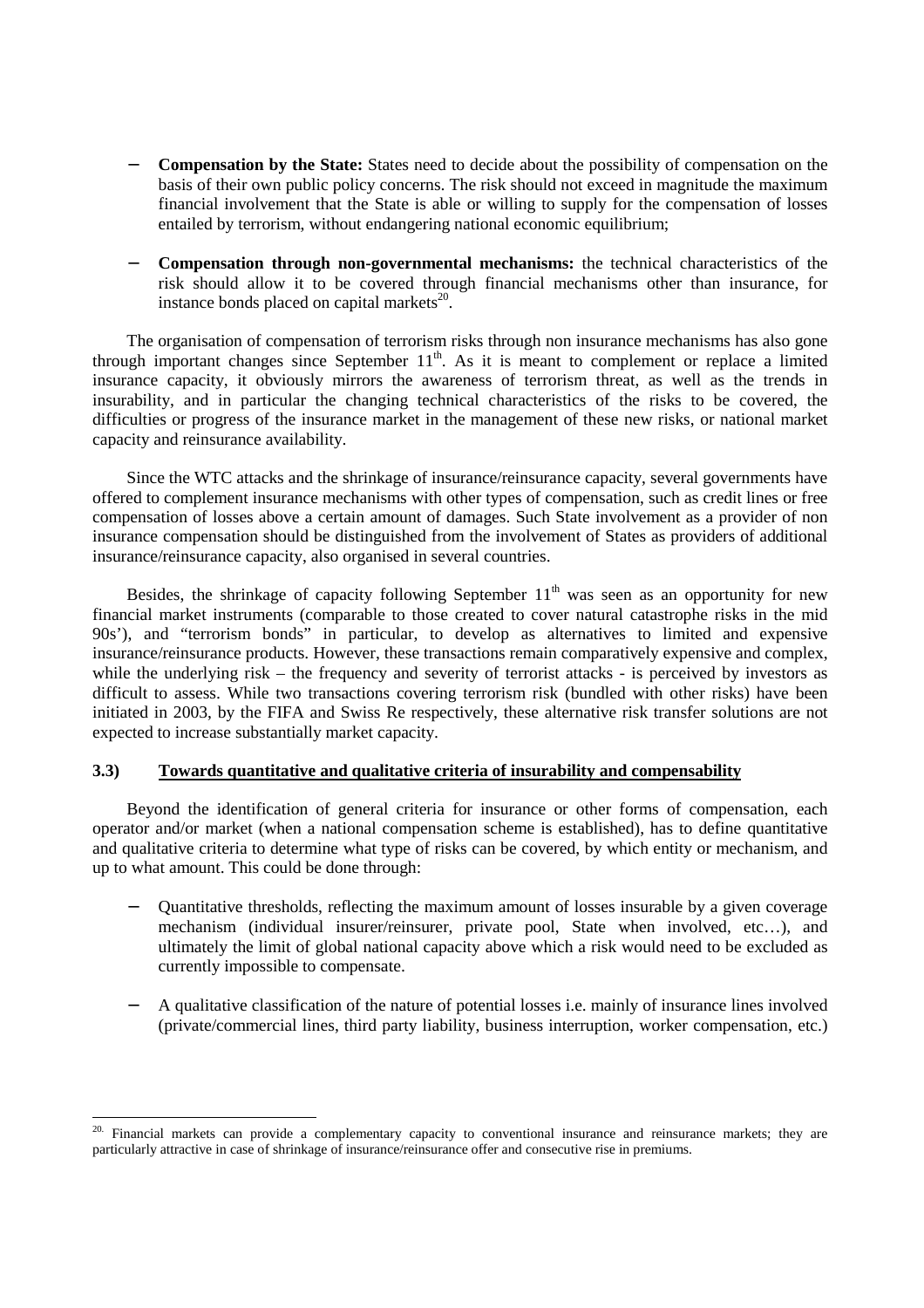- **Compensation by the State:** States need to decide about the possibility of compensation on the basis of their own public policy concerns. The risk should not exceed in magnitude the maximum financial involvement that the State is able or willing to supply for the compensation of losses entailed by terrorism, without endangering national economic equilibrium;
- − **Compensation through non-governmental mechanisms:** the technical characteristics of the risk should allow it to be covered through financial mechanisms other than insurance, for instance bonds placed on capital markets $^{20}$ .

The organisation of compensation of terrorism risks through non insurance mechanisms has also gone through important changes since September  $11<sup>th</sup>$ . As it is meant to complement or replace a limited insurance capacity, it obviously mirrors the awareness of terrorism threat, as well as the trends in insurability, and in particular the changing technical characteristics of the risks to be covered, the difficulties or progress of the insurance market in the management of these new risks, or national market capacity and reinsurance availability.

Since the WTC attacks and the shrinkage of insurance/reinsurance capacity, several governments have offered to complement insurance mechanisms with other types of compensation, such as credit lines or free compensation of losses above a certain amount of damages. Such State involvement as a provider of non insurance compensation should be distinguished from the involvement of States as providers of additional insurance/reinsurance capacity, also organised in several countries.

Besides, the shrinkage of capacity following September  $11<sup>th</sup>$  was seen as an opportunity for new financial market instruments (comparable to those created to cover natural catastrophe risks in the mid 90s'), and "terrorism bonds" in particular, to develop as alternatives to limited and expensive insurance/reinsurance products. However, these transactions remain comparatively expensive and complex, while the underlying risk – the frequency and severity of terrorist attacks - is perceived by investors as difficult to assess. While two transactions covering terrorism risk (bundled with other risks) have been initiated in 2003, by the FIFA and Swiss Re respectively, these alternative risk transfer solutions are not expected to increase substantially market capacity.

# **3.3) Towards quantitative and qualitative criteria of insurability and compensability**

Beyond the identification of general criteria for insurance or other forms of compensation, each operator and/or market (when a national compensation scheme is established), has to define quantitative and qualitative criteria to determine what type of risks can be covered, by which entity or mechanism, and up to what amount. This could be done through:

- − Quantitative thresholds, reflecting the maximum amount of losses insurable by a given coverage mechanism (individual insurer/reinsurer, private pool, State when involved, etc…), and ultimately the limit of global national capacity above which a risk would need to be excluded as currently impossible to compensate.
- − A qualitative classification of the nature of potential losses i.e. mainly of insurance lines involved (private/commercial lines, third party liability, business interruption, worker compensation, etc.)

<sup>&</sup>lt;sup>20.</sup> Financial markets can provide a complementary capacity to conventional insurance and reinsurance markets; they are particularly attractive in case of shrinkage of insurance/reinsurance offer and consecutive rise in premiums.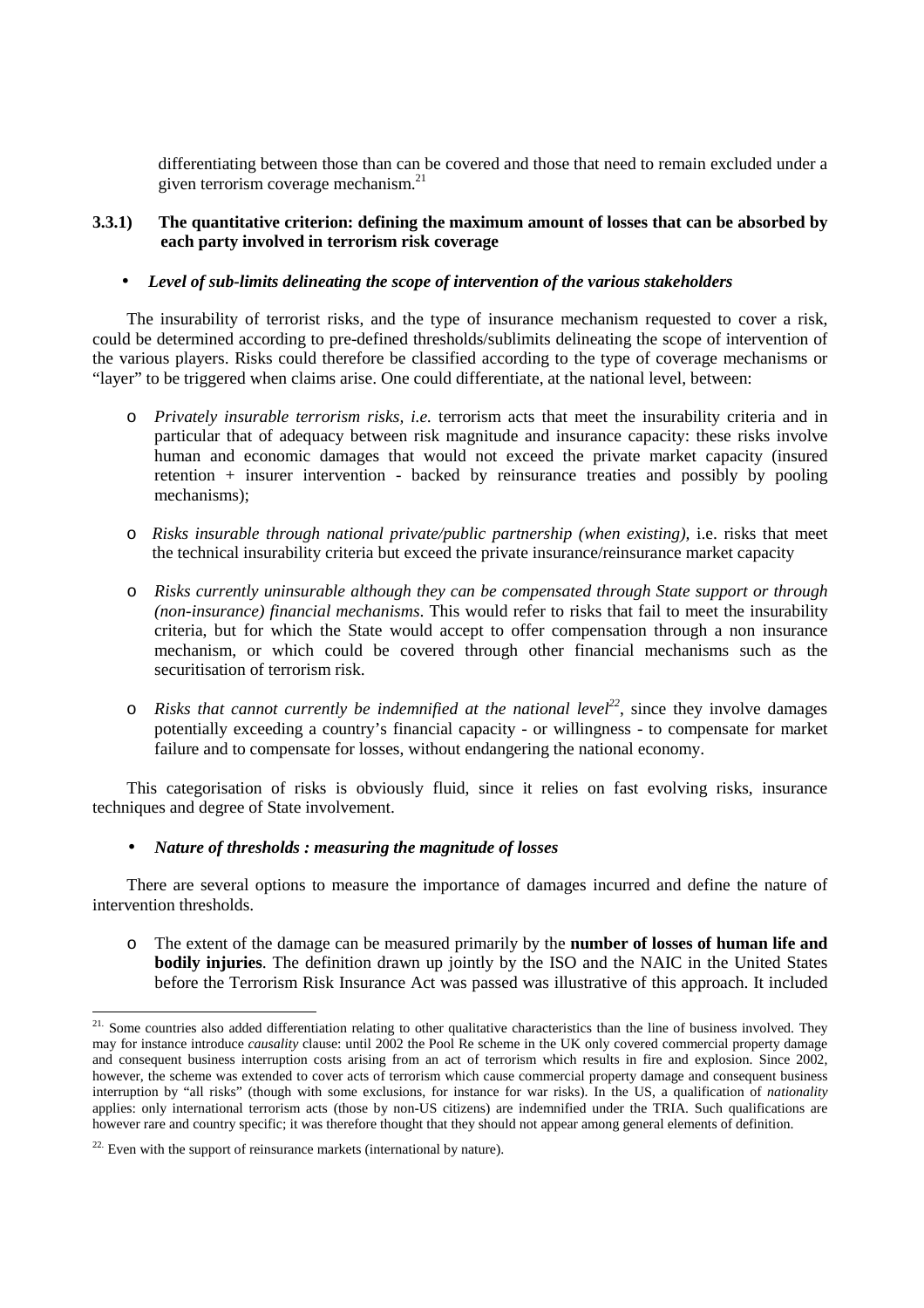differentiating between those than can be covered and those that need to remain excluded under a given terrorism coverage mechanism.<sup>21</sup>

# **3.3.1) The quantitative criterion: defining the maximum amount of losses that can be absorbed by each party involved in terrorism risk coverage**

#### • *Level of sub-limits delineating the scope of intervention of the various stakeholders*

The insurability of terrorist risks, and the type of insurance mechanism requested to cover a risk, could be determined according to pre-defined thresholds/sublimits delineating the scope of intervention of the various players. Risks could therefore be classified according to the type of coverage mechanisms or "layer" to be triggered when claims arise. One could differentiate, at the national level, between:

- o *Privately insurable terrorism risks, i.e.* terrorism acts that meet the insurability criteria and in particular that of adequacy between risk magnitude and insurance capacity: these risks involve human and economic damages that would not exceed the private market capacity (insured retention + insurer intervention - backed by reinsurance treaties and possibly by pooling mechanisms);
- o *Risks insurable through national private/public partnership (when existing),* i.e. risks that meet the technical insurability criteria but exceed the private insurance/reinsurance market capacity
- o *Risks currently uninsurable although they can be compensated through State support or through (non-insurance) financial mechanisms*. This would refer to risks that fail to meet the insurability criteria, but for which the State would accept to offer compensation through a non insurance mechanism, or which could be covered through other financial mechanisms such as the securitisation of terrorism risk.
- $\circ$  *Risks that cannot currently be indemnified at the national level*<sup>22</sup>, since they involve damages potentially exceeding a country's financial capacity - or willingness - to compensate for market failure and to compensate for losses, without endangering the national economy.

This categorisation of risks is obviously fluid, since it relies on fast evolving risks, insurance techniques and degree of State involvement.

# • *Nature of thresholds : measuring the magnitude of losses*

There are several options to measure the importance of damages incurred and define the nature of intervention thresholds.

o The extent of the damage can be measured primarily by the **number of losses of human life and bodily injuries**. The definition drawn up jointly by the ISO and the NAIC in the United States before the Terrorism Risk Insurance Act was passed was illustrative of this approach. It included

<sup>&</sup>lt;sup>21.</sup> Some countries also added differentiation relating to other qualitative characteristics than the line of business involved. They may for instance introduce *causality* clause: until 2002 the Pool Re scheme in the UK only covered commercial property damage and consequent business interruption costs arising from an act of terrorism which results in fire and explosion. Since 2002, however, the scheme was extended to cover acts of terrorism which cause commercial property damage and consequent business interruption by "all risks" (though with some exclusions, for instance for war risks). In the US, a qualification of *nationality*  applies: only international terrorism acts (those by non-US citizens) are indemnified under the TRIA. Such qualifications are however rare and country specific; it was therefore thought that they should not appear among general elements of definition.

<sup>&</sup>lt;sup>22.</sup> Even with the support of reinsurance markets (international by nature).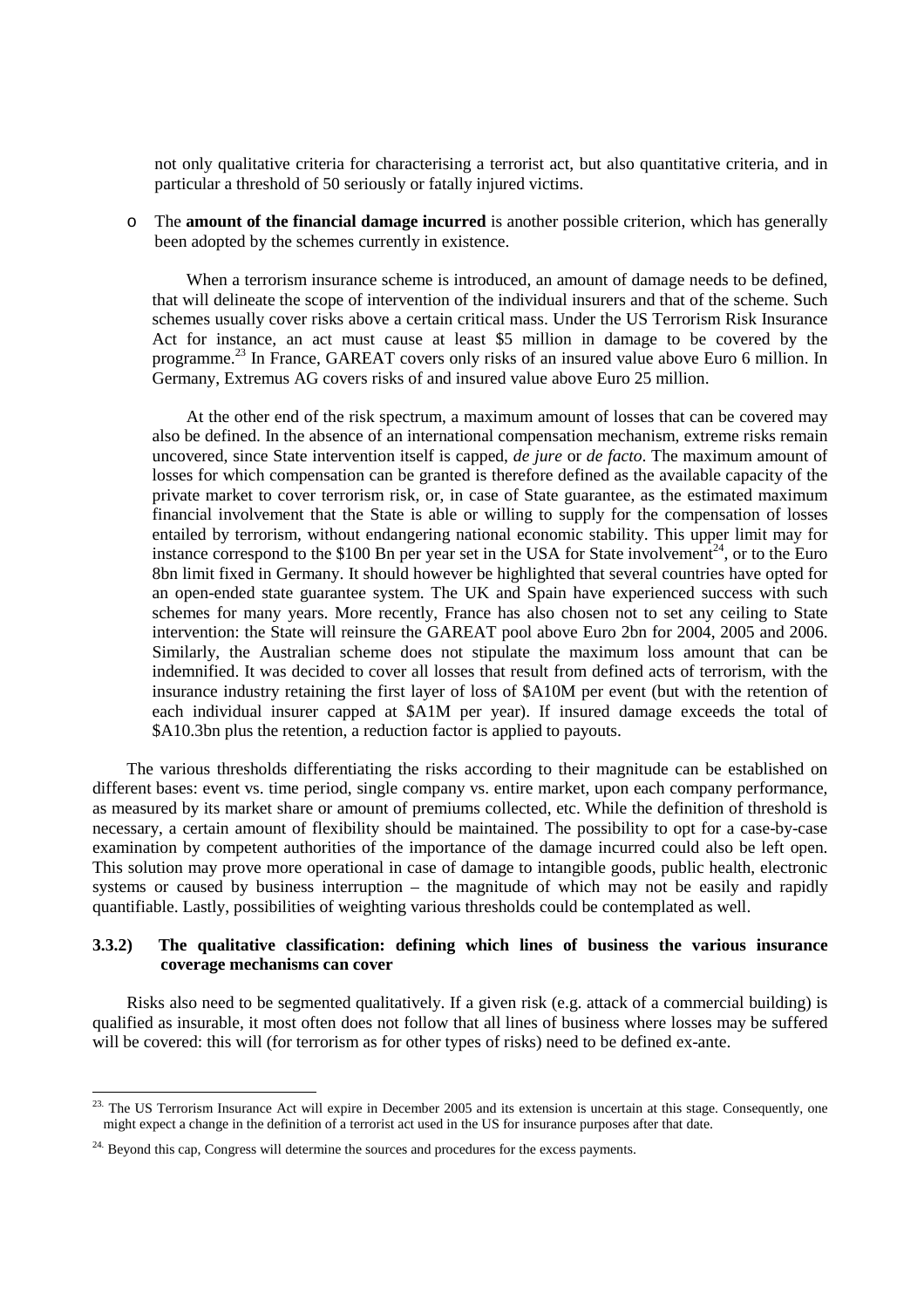not only qualitative criteria for characterising a terrorist act, but also quantitative criteria, and in particular a threshold of 50 seriously or fatally injured victims.

o The **amount of the financial damage incurred** is another possible criterion, which has generally been adopted by the schemes currently in existence.

When a terrorism insurance scheme is introduced, an amount of damage needs to be defined, that will delineate the scope of intervention of the individual insurers and that of the scheme. Such schemes usually cover risks above a certain critical mass. Under the US Terrorism Risk Insurance Act for instance, an act must cause at least \$5 million in damage to be covered by the programme.<sup>23</sup> In France, GAREAT covers only risks of an insured value above Euro 6 million. In Germany, Extremus AG covers risks of and insured value above Euro 25 million.

At the other end of the risk spectrum, a maximum amount of losses that can be covered may also be defined. In the absence of an international compensation mechanism, extreme risks remain uncovered, since State intervention itself is capped, *de jure* or *de facto*. The maximum amount of losses for which compensation can be granted is therefore defined as the available capacity of the private market to cover terrorism risk, or, in case of State guarantee, as the estimated maximum financial involvement that the State is able or willing to supply for the compensation of losses entailed by terrorism, without endangering national economic stability. This upper limit may for instance correspond to the \$100 Bn per year set in the USA for State involvement<sup>24</sup>, or to the Euro 8bn limit fixed in Germany. It should however be highlighted that several countries have opted for an open-ended state guarantee system. The UK and Spain have experienced success with such schemes for many years. More recently, France has also chosen not to set any ceiling to State intervention: the State will reinsure the GAREAT pool above Euro 2bn for 2004, 2005 and 2006. Similarly, the Australian scheme does not stipulate the maximum loss amount that can be indemnified. It was decided to cover all losses that result from defined acts of terrorism, with the insurance industry retaining the first layer of loss of \$A10M per event (but with the retention of each individual insurer capped at \$A1M per year). If insured damage exceeds the total of \$A10.3bn plus the retention, a reduction factor is applied to payouts.

The various thresholds differentiating the risks according to their magnitude can be established on different bases: event vs. time period, single company vs. entire market, upon each company performance, as measured by its market share or amount of premiums collected, etc. While the definition of threshold is necessary, a certain amount of flexibility should be maintained. The possibility to opt for a case-by-case examination by competent authorities of the importance of the damage incurred could also be left open. This solution may prove more operational in case of damage to intangible goods, public health, electronic systems or caused by business interruption – the magnitude of which may not be easily and rapidly quantifiable. Lastly, possibilities of weighting various thresholds could be contemplated as well.

# **3.3.2) The qualitative classification: defining which lines of business the various insurance coverage mechanisms can cover**

Risks also need to be segmented qualitatively. If a given risk (e.g. attack of a commercial building) is qualified as insurable, it most often does not follow that all lines of business where losses may be suffered will be covered: this will (for terrorism as for other types of risks) need to be defined ex-ante.

<sup>&</sup>lt;sup>23.</sup> The US Terrorism Insurance Act will expire in December 2005 and its extension is uncertain at this stage. Consequently, one might expect a change in the definition of a terrorist act used in the US for insurance purposes after that date.

 $24.$  Beyond this cap, Congress will determine the sources and procedures for the excess payments.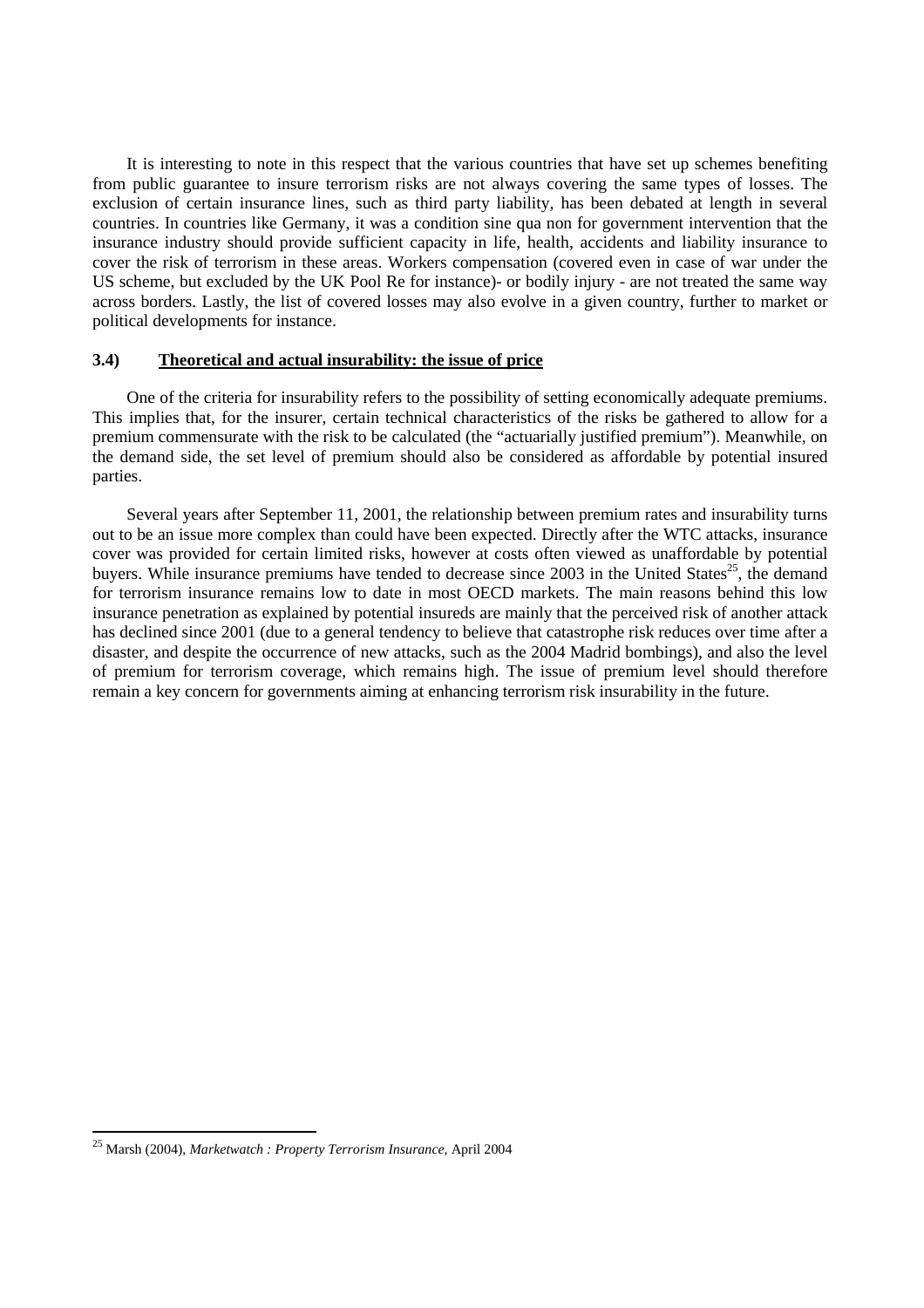It is interesting to note in this respect that the various countries that have set up schemes benefiting from public guarantee to insure terrorism risks are not always covering the same types of losses. The exclusion of certain insurance lines, such as third party liability, has been debated at length in several countries. In countries like Germany, it was a condition sine qua non for government intervention that the insurance industry should provide sufficient capacity in life, health, accidents and liability insurance to cover the risk of terrorism in these areas. Workers compensation (covered even in case of war under the US scheme, but excluded by the UK Pool Re for instance)- or bodily injury - are not treated the same way across borders. Lastly, the list of covered losses may also evolve in a given country, further to market or political developments for instance.

# **3.4) Theoretical and actual insurability: the issue of price**

One of the criteria for insurability refers to the possibility of setting economically adequate premiums. This implies that, for the insurer, certain technical characteristics of the risks be gathered to allow for a premium commensurate with the risk to be calculated (the "actuarially justified premium"). Meanwhile, on the demand side, the set level of premium should also be considered as affordable by potential insured parties.

Several years after September 11, 2001, the relationship between premium rates and insurability turns out to be an issue more complex than could have been expected. Directly after the WTC attacks, insurance cover was provided for certain limited risks, however at costs often viewed as unaffordable by potential buyers. While insurance premiums have tended to decrease since 2003 in the United States<sup>25</sup>, the demand for terrorism insurance remains low to date in most OECD markets. The main reasons behind this low insurance penetration as explained by potential insureds are mainly that the perceived risk of another attack has declined since 2001 (due to a general tendency to believe that catastrophe risk reduces over time after a disaster, and despite the occurrence of new attacks, such as the 2004 Madrid bombings), and also the level of premium for terrorism coverage, which remains high. The issue of premium level should therefore remain a key concern for governments aiming at enhancing terrorism risk insurability in the future.

<sup>25</sup> Marsh (2004), *Marketwatch : Property Terrorism Insurance*, April 2004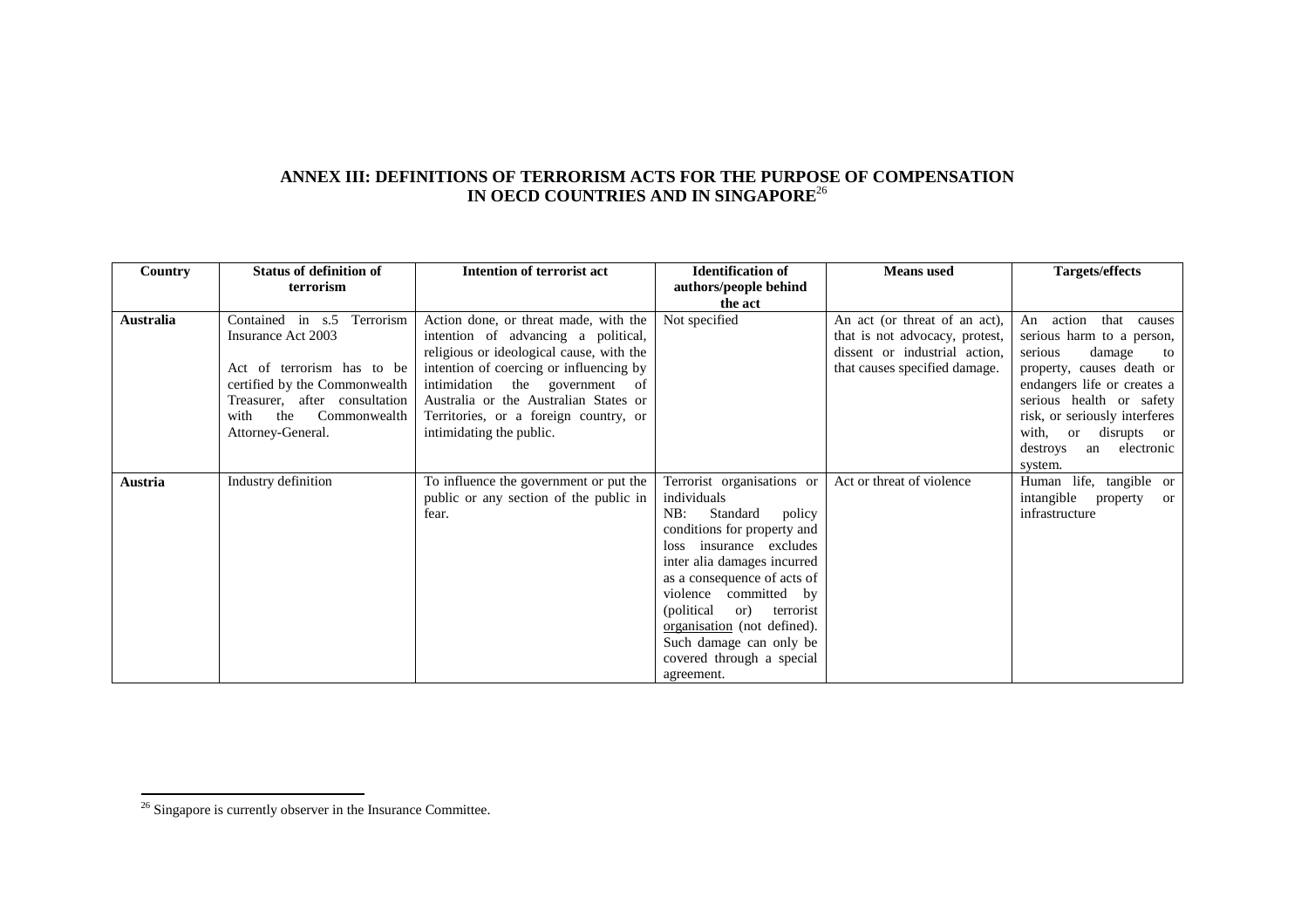# **ANNEX III: DEFINITIONS OF TERRORISM ACTS FOR THE PURPOSE OF COMPENSATION IN OECD COUNTRIES AND IN SINGAPORE**<sup>26</sup>

| Country   | <b>Status of definition of</b>     | <b>Intention of terrorist act</b>        | <b>Identification of</b>        | <b>Means</b> used              | Targets/effects                |
|-----------|------------------------------------|------------------------------------------|---------------------------------|--------------------------------|--------------------------------|
|           | terrorism                          |                                          | authors/people behind           |                                |                                |
|           |                                    |                                          | the act                         |                                |                                |
| Australia | in $s.5$<br>Terrorism<br>Contained | Action done, or threat made, with the    | Not specified                   | An act (or threat of an act),  | action<br>that<br>An<br>causes |
|           | Insurance Act 2003                 | intention of advancing a political,      |                                 | that is not advocacy, protest, | serious harm to a person,      |
|           |                                    | religious or ideological cause, with the |                                 | dissent or industrial action,  | damage<br>serious<br>to        |
|           | Act of terrorism has to be         | intention of coercing or influencing by  |                                 | that causes specified damage.  | property, causes death or      |
|           | certified by the Commonwealth      | intimidation the government of           |                                 |                                | endangers life or creates a    |
|           | Treasurer, after consultation      | Australia or the Australian States or    |                                 |                                | serious health or safety       |
|           | the<br>Commonwealth<br>with        | Territories, or a foreign country, or    |                                 |                                | risk, or seriously interferes  |
|           | Attorney-General.                  | intimidating the public.                 |                                 |                                | disrupts or<br>with,<br>or     |
|           |                                    |                                          |                                 |                                | electronic<br>destroys<br>an   |
|           |                                    |                                          |                                 |                                | system.                        |
| Austria   | Industry definition                | To influence the government or put the   | Terrorist organisations or      | Act or threat of violence      | Human life, tangible or        |
|           |                                    | public or any section of the public in   | individuals                     |                                | intangible<br>property<br>or   |
|           |                                    | fear.                                    | NB:<br>Standard<br>policy       |                                | infrastructure                 |
|           |                                    |                                          | conditions for property and     |                                |                                |
|           |                                    |                                          | loss insurance excludes         |                                |                                |
|           |                                    |                                          | inter alia damages incurred     |                                |                                |
|           |                                    |                                          | as a consequence of acts of     |                                |                                |
|           |                                    |                                          | violence committed by           |                                |                                |
|           |                                    |                                          | (political)<br>or)<br>terrorist |                                |                                |
|           |                                    |                                          | organisation (not defined).     |                                |                                |
|           |                                    |                                          | Such damage can only be         |                                |                                |
|           |                                    |                                          | covered through a special       |                                |                                |
|           |                                    |                                          | agreement.                      |                                |                                |

<sup>&</sup>lt;sup>26</sup> Singapore is currently observer in the Insurance Committee.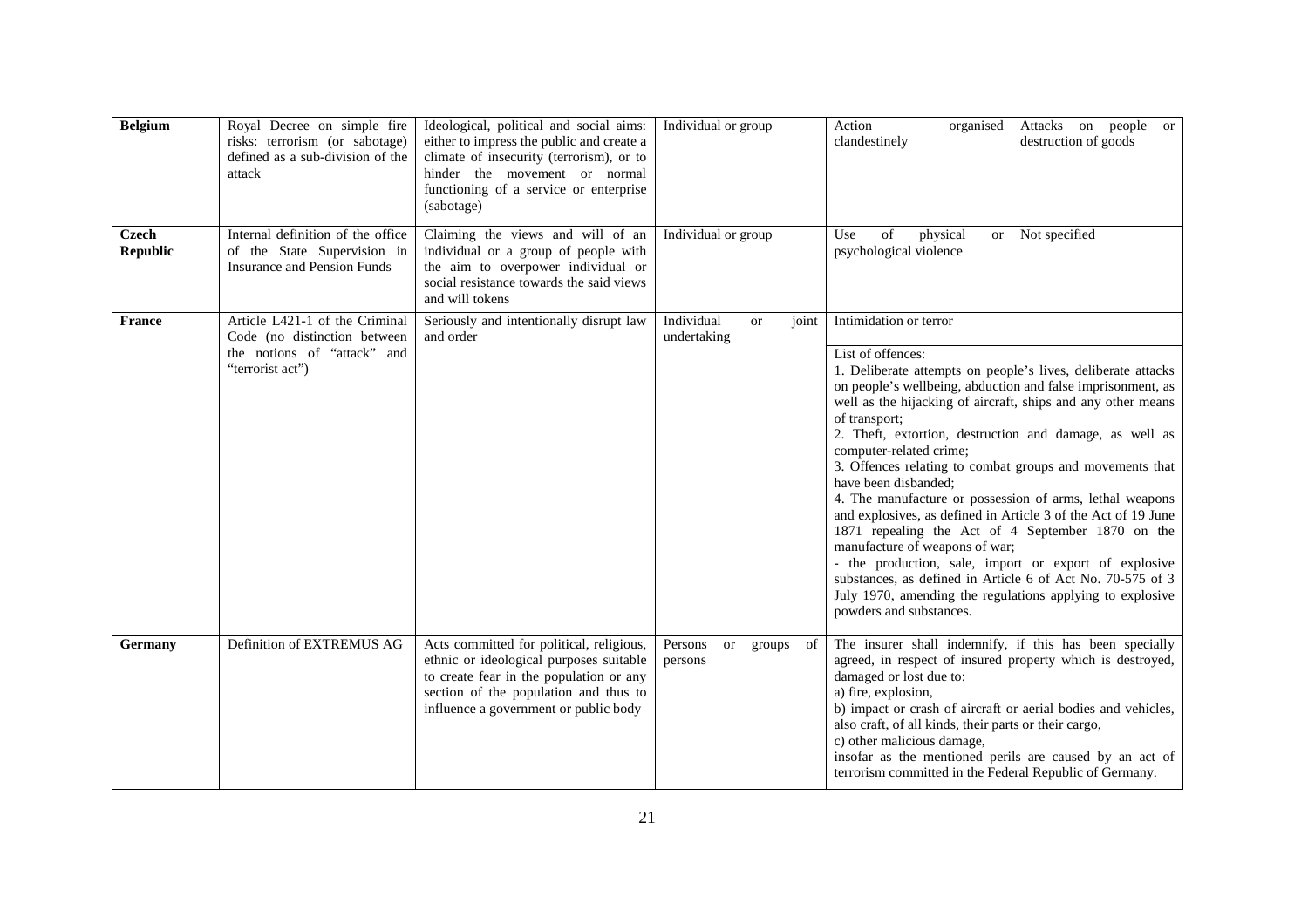| <b>Belgium</b>                  | Royal Decree on simple fire<br>risks: terrorism (or sabotage)<br>defined as a sub-division of the<br>attack       | Ideological, political and social aims:<br>either to impress the public and create a<br>climate of insecurity (terrorism), or to<br>hinder the movement or normal<br>functioning of a service or enterprise<br>(sabotage) | Individual or group                                 | Action<br>Attacks on people or<br>organised<br>destruction of goods<br>clandestinely                                                                                                                                                                                                                                                                                                                                                                                                                                                                                                                                                                                                                                                                                                                                                                                     |  |
|---------------------------------|-------------------------------------------------------------------------------------------------------------------|---------------------------------------------------------------------------------------------------------------------------------------------------------------------------------------------------------------------------|-----------------------------------------------------|--------------------------------------------------------------------------------------------------------------------------------------------------------------------------------------------------------------------------------------------------------------------------------------------------------------------------------------------------------------------------------------------------------------------------------------------------------------------------------------------------------------------------------------------------------------------------------------------------------------------------------------------------------------------------------------------------------------------------------------------------------------------------------------------------------------------------------------------------------------------------|--|
| <b>Czech</b><br><b>Republic</b> | Internal definition of the office<br>of the State Supervision in<br><b>Insurance and Pension Funds</b>            | Claiming the views and will of an<br>individual or a group of people with<br>the aim to overpower individual or<br>social resistance towards the said views<br>and will tokens                                            | Individual or group                                 | of<br>physical<br>Not specified<br>Use<br>or<br>psychological violence                                                                                                                                                                                                                                                                                                                                                                                                                                                                                                                                                                                                                                                                                                                                                                                                   |  |
| <b>France</b>                   | Article L421-1 of the Criminal<br>Code (no distinction between<br>the notions of "attack" and<br>"terrorist act") | Seriously and intentionally disrupt law<br>and order                                                                                                                                                                      | Individual<br><sub>or</sub><br>joint<br>undertaking | Intimidation or terror<br>List of offences:<br>1. Deliberate attempts on people's lives, deliberate attacks<br>on people's wellbeing, abduction and false imprisonment, as<br>well as the hijacking of aircraft, ships and any other means<br>of transport;<br>2. Theft, extortion, destruction and damage, as well as<br>computer-related crime;<br>3. Offences relating to combat groups and movements that<br>have been disbanded;<br>4. The manufacture or possession of arms, lethal weapons<br>and explosives, as defined in Article 3 of the Act of 19 June<br>1871 repealing the Act of 4 September 1870 on the<br>manufacture of weapons of war;<br>- the production, sale, import or export of explosive<br>substances, as defined in Article 6 of Act No. 70-575 of 3<br>July 1970, amending the regulations applying to explosive<br>powders and substances. |  |
| Germany                         | Definition of EXTREMUS AG                                                                                         | Acts committed for political, religious,<br>ethnic or ideological purposes suitable<br>to create fear in the population or any<br>section of the population and thus to<br>influence a government or public body          | Persons<br>or<br>of<br>groups<br>persons            | The insurer shall indemnify, if this has been specially<br>agreed, in respect of insured property which is destroyed,<br>damaged or lost due to:<br>a) fire, explosion,<br>b) impact or crash of aircraft or aerial bodies and vehicles,<br>also craft, of all kinds, their parts or their cargo,<br>c) other malicious damage,<br>insofar as the mentioned perils are caused by an act of<br>terrorism committed in the Federal Republic of Germany.                                                                                                                                                                                                                                                                                                                                                                                                                    |  |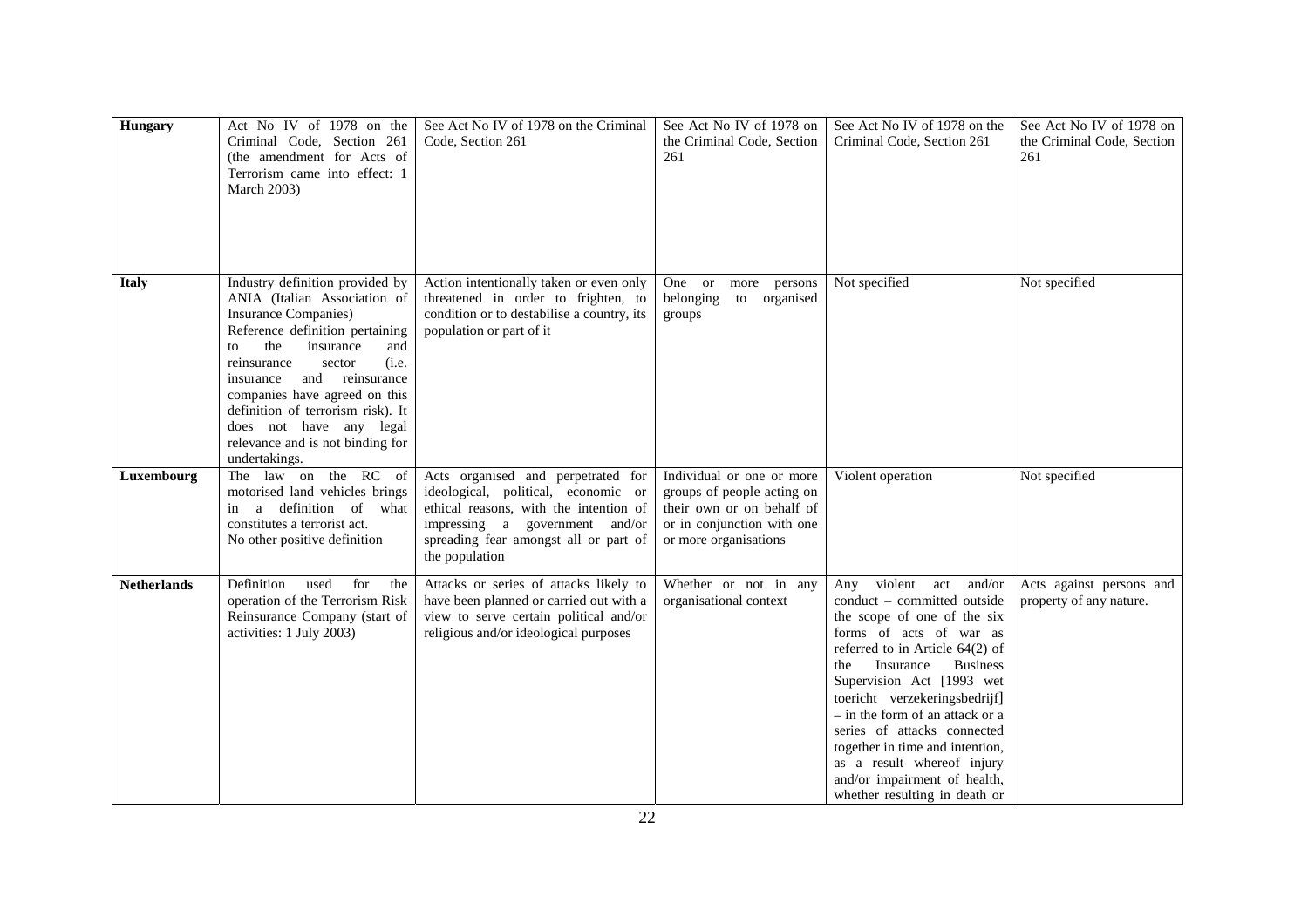| <b>Hungary</b>     | Act No IV of 1978 on the<br>Criminal Code, Section 261<br>(the amendment for Acts of<br>Terrorism came into effect: 1<br><b>March 2003)</b>                                                                                                                                                                                                                                                 | See Act No IV of 1978 on the Criminal<br>Code, Section 261                                                                                                                                                       | See Act No IV of 1978 on<br>the Criminal Code, Section<br>261                                                                               | See Act No IV of 1978 on the<br>Criminal Code, Section 261                                                                                                                                                                                                                                                                                                                                                                                                         | See Act No IV of 1978 on<br>the Criminal Code, Section<br>261 |
|--------------------|---------------------------------------------------------------------------------------------------------------------------------------------------------------------------------------------------------------------------------------------------------------------------------------------------------------------------------------------------------------------------------------------|------------------------------------------------------------------------------------------------------------------------------------------------------------------------------------------------------------------|---------------------------------------------------------------------------------------------------------------------------------------------|--------------------------------------------------------------------------------------------------------------------------------------------------------------------------------------------------------------------------------------------------------------------------------------------------------------------------------------------------------------------------------------------------------------------------------------------------------------------|---------------------------------------------------------------|
| <b>Italy</b>       | Industry definition provided by<br>ANIA (Italian Association of<br><b>Insurance Companies</b> )<br>Reference definition pertaining<br>the<br>insurance<br>and<br>to<br>(i.e.<br>reinsurance<br>sector<br>and reinsurance<br>insurance<br>companies have agreed on this<br>definition of terrorism risk). It<br>does not have any legal<br>relevance and is not binding for<br>undertakings. | Action intentionally taken or even only<br>threatened in order to frighten, to<br>condition or to destabilise a country, its<br>population or part of it                                                         | One or more<br>persons<br>belonging<br>to organised<br>groups                                                                               | Not specified                                                                                                                                                                                                                                                                                                                                                                                                                                                      | Not specified                                                 |
| Luxembourg         | The law on the RC of<br>motorised land vehicles brings<br>a definition of what<br>in<br>constitutes a terrorist act.<br>No other positive definition                                                                                                                                                                                                                                        | Acts organised and perpetrated for<br>ideological, political, economic or<br>ethical reasons, with the intention of<br>impressing a government and/or<br>spreading fear amongst all or part of<br>the population | Individual or one or more<br>groups of people acting on<br>their own or on behalf of<br>or in conjunction with one<br>or more organisations | Violent operation                                                                                                                                                                                                                                                                                                                                                                                                                                                  | Not specified                                                 |
| <b>Netherlands</b> | Definition<br>used<br>for<br>the<br>operation of the Terrorism Risk<br>Reinsurance Company (start of<br>activities: 1 July 2003)                                                                                                                                                                                                                                                            | Attacks or series of attacks likely to<br>have been planned or carried out with a<br>view to serve certain political and/or<br>religious and/or ideological purposes                                             | Whether or not in any<br>organisational context                                                                                             | Any violent act<br>and/or<br>conduct - committed outside<br>the scope of one of the six<br>forms of acts of war as<br>referred to in Article $64(2)$ of<br>Insurance<br><b>Business</b><br>the<br>Supervision Act [1993 wet<br>toericht verzekeringsbedrijf]<br>$-$ in the form of an attack or a<br>series of attacks connected<br>together in time and intention,<br>as a result whereof injury<br>and/or impairment of health,<br>whether resulting in death or | Acts against persons and<br>property of any nature.           |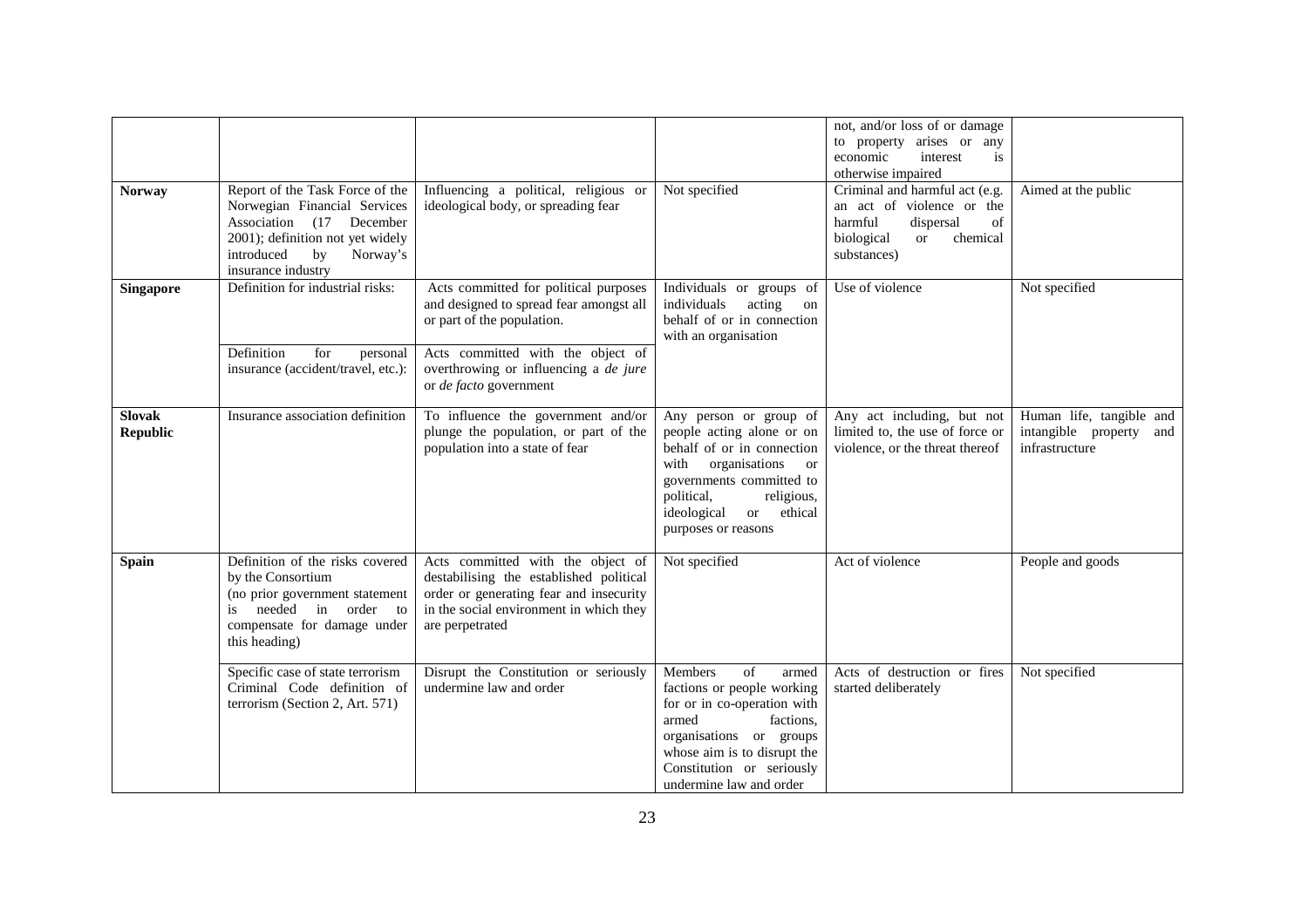|                                  |                                                                                                                                                                                       |                                                                                                                                                                                       |                                                                                                                                                                                                                                         | not, and/or loss of or damage<br>to property arises or any<br>economic<br>interest<br>is<br>otherwise impaired                                      |                                                                       |
|----------------------------------|---------------------------------------------------------------------------------------------------------------------------------------------------------------------------------------|---------------------------------------------------------------------------------------------------------------------------------------------------------------------------------------|-----------------------------------------------------------------------------------------------------------------------------------------------------------------------------------------------------------------------------------------|-----------------------------------------------------------------------------------------------------------------------------------------------------|-----------------------------------------------------------------------|
| <b>Norway</b>                    | Report of the Task Force of the<br>Norwegian Financial Services<br>Association (17 December<br>2001); definition not yet widely<br>introduced<br>Norway's<br>by<br>insurance industry | Influencing a political, religious or<br>ideological body, or spreading fear                                                                                                          | Not specified                                                                                                                                                                                                                           | Criminal and harmful act (e.g.<br>an act of violence or the<br>harmful<br>dispersal<br>of<br>biological<br>chemical<br><sub>or</sub><br>substances) | Aimed at the public                                                   |
| Singapore                        | Definition for industrial risks:                                                                                                                                                      | Acts committed for political purposes<br>and designed to spread fear amongst all<br>or part of the population.                                                                        | Individuals or groups of<br>individuals<br>acting<br>on<br>behalf of or in connection<br>with an organisation                                                                                                                           | Use of violence                                                                                                                                     | Not specified                                                         |
|                                  | Definition<br>for<br>personal<br>insurance (accident/travel, etc.):                                                                                                                   | Acts committed with the object of<br>overthrowing or influencing a de jure<br>or de facto government                                                                                  |                                                                                                                                                                                                                                         |                                                                                                                                                     |                                                                       |
| <b>Slovak</b><br><b>Republic</b> | Insurance association definition                                                                                                                                                      | To influence the government and/or<br>plunge the population, or part of the<br>population into a state of fear                                                                        | Any person or group of<br>people acting alone or on<br>behalf of or in connection<br>with<br>organisations or<br>governments committed to<br>religious,<br>political,<br>ethical<br>ideological<br><sub>or</sub><br>purposes or reasons | Any act including, but not<br>limited to, the use of force or<br>violence, or the threat thereof                                                    | Human life, tangible and<br>intangible property and<br>infrastructure |
| <b>Spain</b>                     | Definition of the risks covered<br>by the Consortium<br>(no prior government statement<br>needed in order to<br>is.<br>compensate for damage under<br>this heading)                   | Acts committed with the object of<br>destabilising the established political<br>order or generating fear and insecurity<br>in the social environment in which they<br>are perpetrated | Not specified                                                                                                                                                                                                                           | Act of violence                                                                                                                                     | People and goods                                                      |
|                                  | Specific case of state terrorism<br>Criminal Code definition of<br>terrorism (Section 2, Art. 571)                                                                                    | Disrupt the Constitution or seriously<br>undermine law and order                                                                                                                      | Members<br>of<br>armed<br>factions or people working<br>for or in co-operation with<br>armed<br>factions.<br>organisations or groups<br>whose aim is to disrupt the<br>Constitution or seriously<br>undermine law and order             | Acts of destruction or fires<br>started deliberately                                                                                                | Not specified                                                         |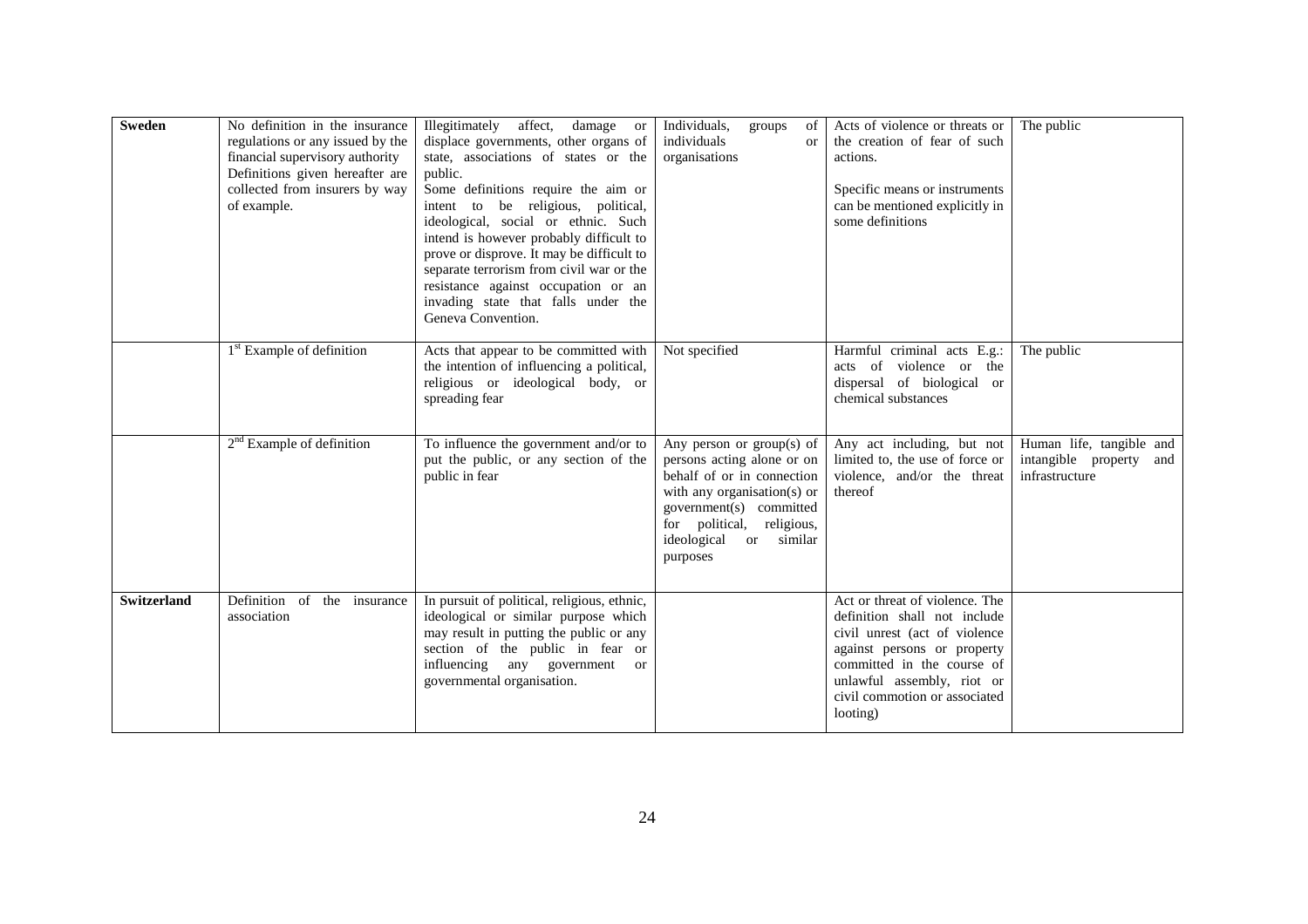| <b>Sweden</b>      | No definition in the insurance<br>regulations or any issued by the<br>financial supervisory authority<br>Definitions given hereafter are<br>collected from insurers by way<br>of example. | Illegitimately affect,<br>damage or<br>displace governments, other organs of<br>state, associations of states or the<br>public.<br>Some definitions require the aim or<br>intent to be religious, political,<br>ideological, social or ethnic. Such<br>intend is however probably difficult to<br>prove or disprove. It may be difficult to<br>separate terrorism from civil war or the<br>resistance against occupation or an<br>invading state that falls under the<br>Geneva Convention. | Individuals,<br>groups<br>of<br>individuals<br><b>or</b><br>organisations                                                                                                                                               | Acts of violence or threats or<br>the creation of fear of such<br>actions.<br>Specific means or instruments<br>can be mentioned explicitly in<br>some definitions                                                                       | The public                                                               |
|--------------------|-------------------------------------------------------------------------------------------------------------------------------------------------------------------------------------------|---------------------------------------------------------------------------------------------------------------------------------------------------------------------------------------------------------------------------------------------------------------------------------------------------------------------------------------------------------------------------------------------------------------------------------------------------------------------------------------------|-------------------------------------------------------------------------------------------------------------------------------------------------------------------------------------------------------------------------|-----------------------------------------------------------------------------------------------------------------------------------------------------------------------------------------------------------------------------------------|--------------------------------------------------------------------------|
|                    | 1 <sup>st</sup> Example of definition                                                                                                                                                     | Acts that appear to be committed with<br>the intention of influencing a political,<br>religious or ideological body, or<br>spreading fear                                                                                                                                                                                                                                                                                                                                                   | Not specified                                                                                                                                                                                                           | Harmful criminal acts E.g.:<br>acts of violence or the<br>dispersal of biological or<br>chemical substances                                                                                                                             | The public                                                               |
|                    | $2nd$ Example of definition                                                                                                                                                               | To influence the government and/or to<br>put the public, or any section of the<br>public in fear                                                                                                                                                                                                                                                                                                                                                                                            | Any person or $group(s)$ of<br>persons acting alone or on<br>behalf of or in connection<br>with any organisation(s) or<br>government(s) committed<br>for political, religious,<br>ideological<br>or similar<br>purposes | Any act including, but not<br>limited to, the use of force or<br>violence, and/or the threat<br>thereof                                                                                                                                 | Human life, tangible and<br>intangible property<br>and<br>infrastructure |
| <b>Switzerland</b> | Definition of the insurance<br>association                                                                                                                                                | In pursuit of political, religious, ethnic,<br>ideological or similar purpose which<br>may result in putting the public or any<br>section of the public in fear or<br>influencing any government<br><sub>or</sub><br>governmental organisation.                                                                                                                                                                                                                                             |                                                                                                                                                                                                                         | Act or threat of violence. The<br>definition shall not include<br>civil unrest (act of violence<br>against persons or property<br>committed in the course of<br>unlawful assembly, riot or<br>civil commotion or associated<br>looting) |                                                                          |